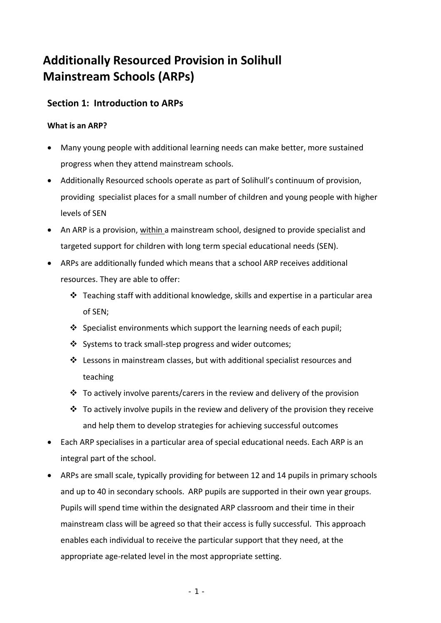## **Additionally Resourced Provision in Solihull Mainstream Schools (ARPs)**

### **Section 1: Introduction to ARPs**

### **What is an ARP?**

- Many young people with additional learning needs can make better, more sustained progress when they attend mainstream schools.
- Additionally Resourced schools operate as part of Solihull's continuum of provision, providing specialist places for a small number of children and young people with higher levels of SEN
- An ARP is a provision, within a mainstream school, designed to provide specialist and targeted support for children with long term special educational needs (SEN).
- ARPs are additionally funded which means that a school ARP receives additional resources. They are able to offer:
	- $\div$  Teaching staff with additional knowledge, skills and expertise in a particular area of SEN;
	- $\cdot$  Specialist environments which support the learning needs of each pupil;
	- Systems to track small‐step progress and wider outcomes;
	- $\cdot \cdot$  Lessons in mainstream classes, but with additional specialist resources and teaching
	- $\cdot \cdot$  To actively involve parents/carers in the review and delivery of the provision
	- $\cdot \cdot$  To actively involve pupils in the review and delivery of the provision they receive and help them to develop strategies for achieving successful outcomes
- Each ARP specialises in a particular area of special educational needs. Each ARP is an integral part of the school.
- ARPs are small scale, typically providing for between 12 and 14 pupils in primary schools and up to 40 in secondary schools. ARP pupils are supported in their own year groups. Pupils will spend time within the designated ARP classroom and their time in their mainstream class will be agreed so that their access is fully successful. This approach enables each individual to receive the particular support that they need, at the appropriate age-related level in the most appropriate setting.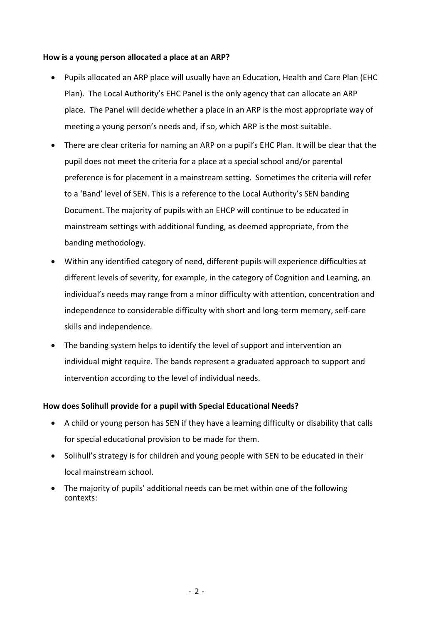#### **How is a young person allocated a place at an ARP?**

- Pupils allocated an ARP place will usually have an Education, Health and Care Plan (EHC Plan). The Local Authority's EHC Panel is the only agency that can allocate an ARP place. The Panel will decide whether a place in an ARP is the most appropriate way of meeting a young person's needs and, if so, which ARP is the most suitable.
- There are clear criteria for naming an ARP on a pupil's EHC Plan. It will be clear that the pupil does not meet the criteria for a place at a special school and/or parental preference is for placement in a mainstream setting. Sometimes the criteria will refer to a 'Band' level of SEN. This is a reference to the Local Authority's SEN banding Document. The majority of pupils with an EHCP will continue to be educated in mainstream settings with additional funding, as deemed appropriate, from the banding methodology.
- Within any identified category of need, different pupils will experience difficulties at different levels of severity, for example, in the category of Cognition and Learning, an individual's needs may range from a minor difficulty with attention, concentration and independence to considerable difficulty with short and long‐term memory, self‐care skills and independence*.*
- The banding system helps to identify the level of support and intervention an individual might require. The bands represent a graduated approach to support and intervention according to the level of individual needs.

#### **How does Solihull provide for a pupil with Special Educational Needs?**

- A child or young person has SEN if they have a learning difficulty or disability that calls for special educational provision to be made for them.
- Solihull's strategy is for children and young people with SEN to be educated in their local mainstream school.
- The majority of pupils' additional needs can be met within one of the following contexts: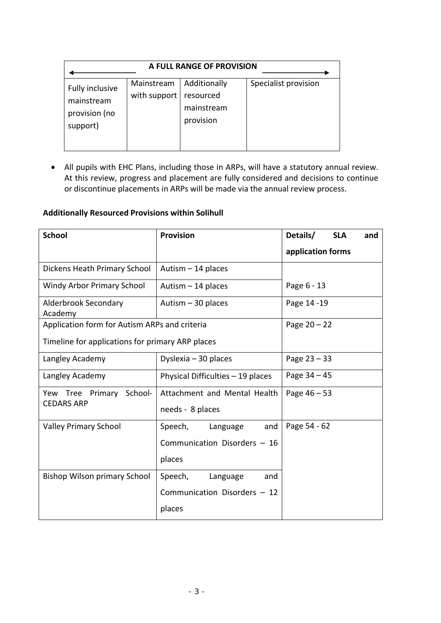| A FULL RANGE OF PROVISION                                  |                            |                                                      |                      |  |
|------------------------------------------------------------|----------------------------|------------------------------------------------------|----------------------|--|
| Fully inclusive<br>mainstream<br>provision (no<br>support) | Mainstream<br>with support | Additionally<br>resourced<br>mainstream<br>provision | Specialist provision |  |

 All pupils with EHC Plans, including those in ARPs, will have a statutory annual review. At this review, progress and placement are fully considered and decisions to continue or discontinue placements in ARPs will be made via the annual review process.

### **Additionally Resourced Provisions within Solihull**

| <b>School</b>                                    | <b>Provision</b>                  | Details/<br><b>SLA</b><br>and |
|--------------------------------------------------|-----------------------------------|-------------------------------|
|                                                  |                                   | application forms             |
| Dickens Heath Primary School                     | Autism $-14$ places               |                               |
| Windy Arbor Primary School                       | Autism $-14$ places               | Page 6 - 13                   |
| Alderbrook Secondary<br>Academy                  | Autism $-30$ places               | Page 14 -19                   |
| Application form for Autism ARPs and criteria    |                                   | Page $20 - 22$                |
| Timeline for applications for primary ARP places |                                   |                               |
| Langley Academy                                  | Dyslexia $-30$ places             | Page $23 - 33$                |
| Langley Academy                                  | Physical Difficulties - 19 places | Page $34 - 45$                |
| Yew Tree Primary School-                         | Attachment and Mental Health      | Page $46 - 53$                |
| <b>CEDARS ARP</b>                                | needs - 8 places                  |                               |
| <b>Valley Primary School</b>                     | Speech,<br>and<br>Language        | Page 54 - 62                  |
|                                                  | Communication Disorders - 16      |                               |
|                                                  | places                            |                               |
| <b>Bishop Wilson primary School</b>              | Speech,<br>Language<br>and        |                               |
|                                                  | Communication Disorders - 12      |                               |
|                                                  | places                            |                               |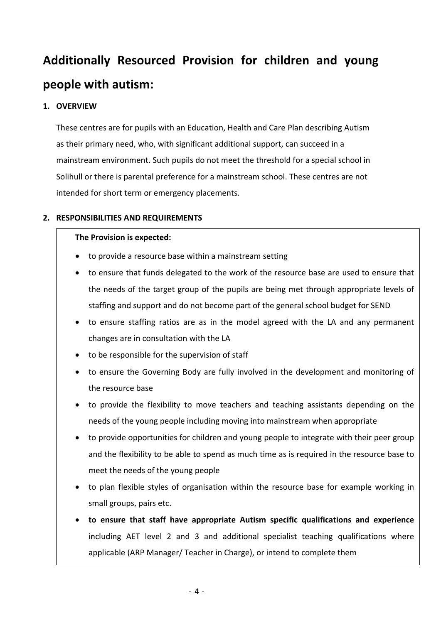# **Additionally Resourced Provision for children and young people with autism:**

### **1. OVERVIEW**

These centres are for pupils with an Education, Health and Care Plan describing Autism as their primary need, who, with significant additional support, can succeed in a mainstream environment. Such pupils do not meet the threshold for a special school in Solihull or there is parental preference for a mainstream school. These centres are not intended for short term or emergency placements.

### **2. RESPONSIBILITIES AND REQUIREMENTS**

#### **The Provision is expected:**

- to provide a resource base within a mainstream setting
- to ensure that funds delegated to the work of the resource base are used to ensure that the needs of the target group of the pupils are being met through appropriate levels of staffing and support and do not become part of the general school budget for SEND
- to ensure staffing ratios are as in the model agreed with the LA and any permanent changes are in consultation with the LA
- to be responsible for the supervision of staff
- to ensure the Governing Body are fully involved in the development and monitoring of the resource base
- to provide the flexibility to move teachers and teaching assistants depending on the needs of the young people including moving into mainstream when appropriate
- to provide opportunities for children and young people to integrate with their peer group and the flexibility to be able to spend as much time as is required in the resource base to meet the needs of the young people
- to plan flexible styles of organisation within the resource base for example working in small groups, pairs etc.
- **to ensure that staff have appropriate Autism specific qualifications and experience** including AET level 2 and 3 and additional specialist teaching qualifications where applicable (ARP Manager/ Teacher in Charge), or intend to complete them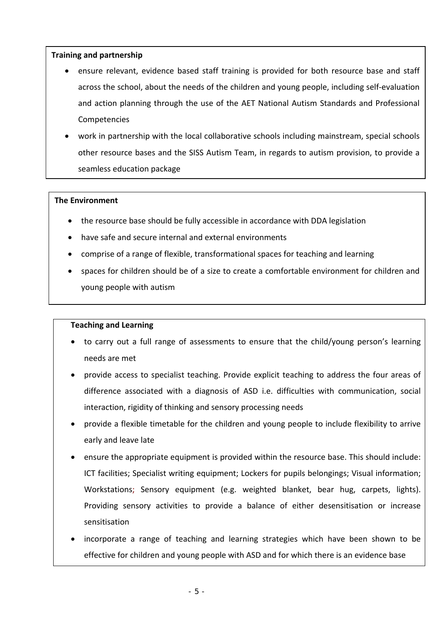#### **Training and partnership**

- ensure relevant, evidence based staff training is provided for both resource base and staff across the school, about the needs of the children and young people, including self‐evaluation and action planning through the use of the AET National Autism Standards and Professional Competencies
- work in partnership with the local collaborative schools including mainstream, special schools other resource bases and the SISS Autism Team, in regards to autism provision, to provide a seamless education package

#### **The Environment**

- the resource base should be fully accessible in accordance with DDA legislation
- have safe and secure internal and external environments
- comprise of a range of flexible, transformational spaces for teaching and learning
- spaces for children should be of a size to create a comfortable environment for children and young people with autism

#### **Teaching and Learning**

- to carry out a full range of assessments to ensure that the child/young person's learning needs are met
- **provide access to specialist teaching. Provide explicit teaching to address the four areas of** difference associated with a diagnosis of ASD i.e. difficulties with communication, social interaction, rigidity of thinking and sensory processing needs
- provide a flexible timetable for the children and young people to include flexibility to arrive early and leave late
- ensure the appropriate equipment is provided within the resource base. This should include: ICT facilities; Specialist writing equipment; Lockers for pupils belongings; Visual information; Workstations; Sensory equipment (e.g. weighted blanket, bear hug, carpets, lights). Providing sensory activities to provide a balance of either desensitisation or increase sensitisation
- incorporate a range of teaching and learning strategies which have been shown to be effective for children and young people with ASD and for which there is an evidence base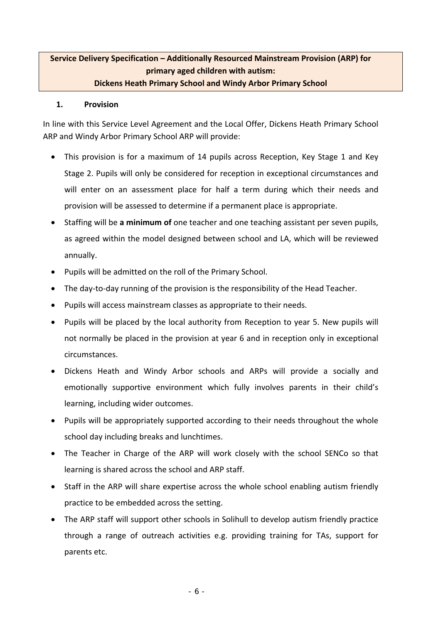### **Service Delivery Specification – Additionally Resourced Mainstream Provision (ARP) for primary aged children with autism: Dickens Heath Primary School and Windy Arbor Primary School**

#### **1. Provision**

In line with this Service Level Agreement and the Local Offer, Dickens Heath Primary School ARP and Windy Arbor Primary School ARP will provide:

- This provision is for a maximum of 14 pupils across Reception, Key Stage 1 and Key Stage 2. Pupils will only be considered for reception in exceptional circumstances and will enter on an assessment place for half a term during which their needs and provision will be assessed to determine if a permanent place is appropriate.
- Staffing will be **a minimum of** one teacher and one teaching assistant per seven pupils, as agreed within the model designed between school and LA, which will be reviewed annually.
- Pupils will be admitted on the roll of the Primary School.
- The day-to-day running of the provision is the responsibility of the Head Teacher.
- Pupils will access mainstream classes as appropriate to their needs.
- Pupils will be placed by the local authority from Reception to year 5. New pupils will not normally be placed in the provision at year 6 and in reception only in exceptional circumstances.
- Dickens Heath and Windy Arbor schools and ARPs will provide a socially and emotionally supportive environment which fully involves parents in their child's learning, including wider outcomes.
- Pupils will be appropriately supported according to their needs throughout the whole school day including breaks and lunchtimes.
- The Teacher in Charge of the ARP will work closely with the school SENCo so that learning is shared across the school and ARP staff.
- Staff in the ARP will share expertise across the whole school enabling autism friendly practice to be embedded across the setting.
- The ARP staff will support other schools in Solihull to develop autism friendly practice through a range of outreach activities e.g. providing training for TAs, support for parents etc.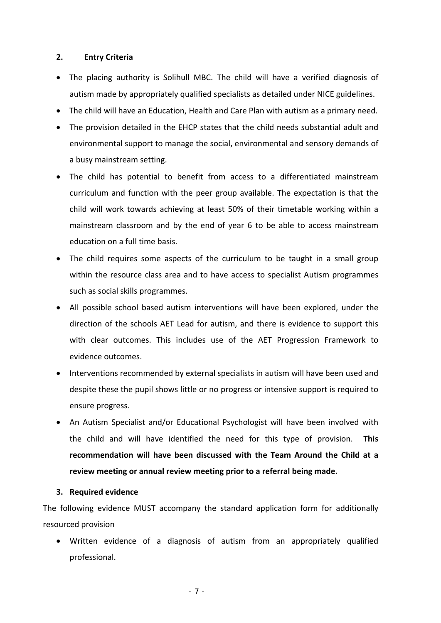#### **2. Entry Criteria**

- The placing authority is Solihull MBC. The child will have a verified diagnosis of autism made by appropriately qualified specialists as detailed under NICE guidelines.
- The child will have an Education, Health and Care Plan with autism as a primary need.
- The provision detailed in the EHCP states that the child needs substantial adult and environmental support to manage the social, environmental and sensory demands of a busy mainstream setting.
- The child has potential to benefit from access to a differentiated mainstream curriculum and function with the peer group available. The expectation is that the child will work towards achieving at least 50% of their timetable working within a mainstream classroom and by the end of year 6 to be able to access mainstream education on a full time basis.
- The child requires some aspects of the curriculum to be taught in a small group within the resource class area and to have access to specialist Autism programmes such as social skills programmes.
- All possible school based autism interventions will have been explored, under the direction of the schools AET Lead for autism, and there is evidence to support this with clear outcomes. This includes use of the AET Progression Framework to evidence outcomes.
- Interventions recommended by external specialists in autism will have been used and despite these the pupil shows little or no progress or intensive support is required to ensure progress.
- An Autism Specialist and/or Educational Psychologist will have been involved with the child and will have identified the need for this type of provision. **This recommendation will have been discussed with the Team Around the Child at a review meeting or annual review meeting prior to a referral being made.**

#### **3. Required evidence**

The following evidence MUST accompany the standard application form for additionally resourced provision

 Written evidence of a diagnosis of autism from an appropriately qualified professional.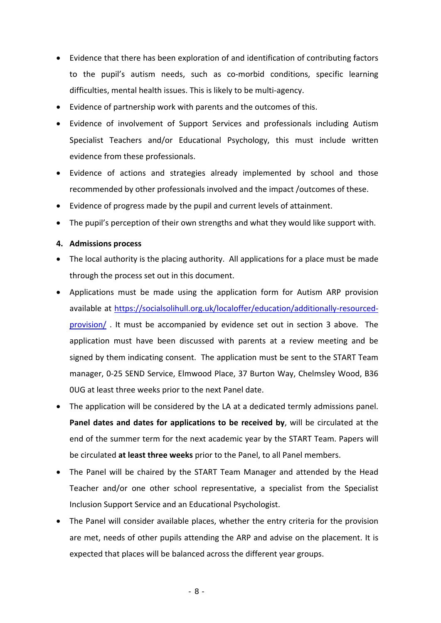- Evidence that there has been exploration of and identification of contributing factors to the pupil's autism needs, such as co-morbid conditions, specific learning difficulties, mental health issues. This is likely to be multi‐agency.
- Evidence of partnership work with parents and the outcomes of this.
- Evidence of involvement of Support Services and professionals including Autism Specialist Teachers and/or Educational Psychology, this must include written evidence from these professionals.
- Evidence of actions and strategies already implemented by school and those recommended by other professionals involved and the impact /outcomes of these.
- Evidence of progress made by the pupil and current levels of attainment.
- The pupil's perception of their own strengths and what they would like support with.

#### **4. Admissions process**

- The local authority is the placing authority. All applications for a place must be made through the process set out in this document.
- Applications must be made using the application form for Autism ARP provision available at https://socialsolihull.org.uk/localoffer/education/additionally‐resourced‐ provision/ . It must be accompanied by evidence set out in section 3 above. The application must have been discussed with parents at a review meeting and be signed by them indicating consent. The application must be sent to the START Team manager, 0‐25 SEND Service, Elmwood Place, 37 Burton Way, Chelmsley Wood, B36 0UG at least three weeks prior to the next Panel date.
- The application will be considered by the LA at a dedicated termly admissions panel. **Panel dates and dates for applications to be received by, will be circulated at the** end of the summer term for the next academic year by the START Team. Papers will be circulated **at least three weeks** prior to the Panel, to all Panel members.
- The Panel will be chaired by the START Team Manager and attended by the Head Teacher and/or one other school representative, a specialist from the Specialist Inclusion Support Service and an Educational Psychologist.
- The Panel will consider available places, whether the entry criteria for the provision are met, needs of other pupils attending the ARP and advise on the placement. It is expected that places will be balanced across the different year groups.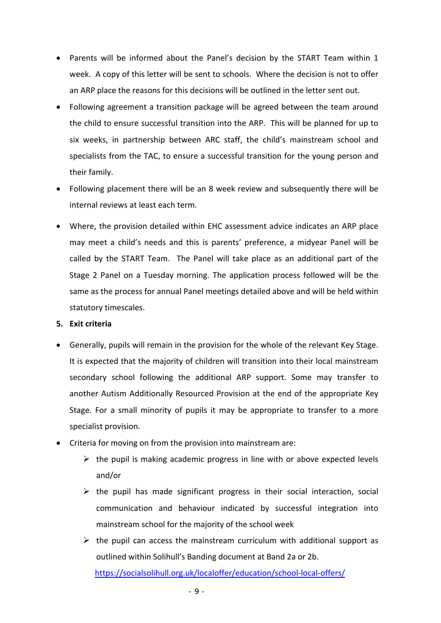- Parents will be informed about the Panel's decision by the START Team within 1 week. A copy of this letter will be sent to schools. Where the decision is not to offer an ARP place the reasons for this decisions will be outlined in the letter sent out.
- Following agreement a transition package will be agreed between the team around the child to ensure successful transition into the ARP. This will be planned for up to six weeks, in partnership between ARC staff, the child's mainstream school and specialists from the TAC, to ensure a successful transition for the young person and their family.
- Following placement there will be an 8 week review and subsequently there will be internal reviews at least each term.
- Where, the provision detailed within EHC assessment advice indicates an ARP place may meet a child's needs and this is parents' preference, a midyear Panel will be called by the START Team. The Panel will take place as an additional part of the Stage 2 Panel on a Tuesday morning. The application process followed will be the same as the process for annual Panel meetings detailed above and will be held within statutory timescales.

#### **5. Exit criteria**

- Generally, pupils will remain in the provision for the whole of the relevant Key Stage. It is expected that the majority of children will transition into their local mainstream secondary school following the additional ARP support. Some may transfer to another Autism Additionally Resourced Provision at the end of the appropriate Key Stage. For a small minority of pupils it may be appropriate to transfer to a more specialist provision.
- Criteria for moving on from the provision into mainstream are:
	- $\triangleright$  the pupil is making academic progress in line with or above expected levels and/or
	- $\triangleright$  the pupil has made significant progress in their social interaction, social communication and behaviour indicated by successful integration into mainstream school for the majority of the school week
	- $\triangleright$  the pupil can access the mainstream curriculum with additional support as outlined within Solihull's Banding document at Band 2a or 2b. https://socialsolihull.org.uk/localoffer/education/school-local-offers/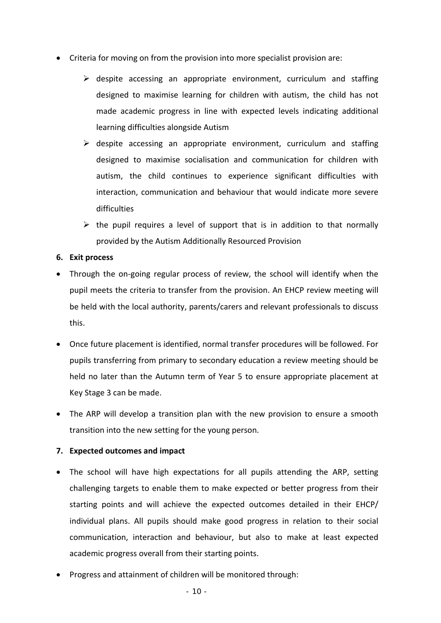- Criteria for moving on from the provision into more specialist provision are:
	- $\triangleright$  despite accessing an appropriate environment, curriculum and staffing designed to maximise learning for children with autism, the child has not made academic progress in line with expected levels indicating additional learning difficulties alongside Autism
	- $\triangleright$  despite accessing an appropriate environment, curriculum and staffing designed to maximise socialisation and communication for children with autism, the child continues to experience significant difficulties with interaction, communication and behaviour that would indicate more severe difficulties
	- $\triangleright$  the pupil requires a level of support that is in addition to that normally provided by the Autism Additionally Resourced Provision

#### **6. Exit process**

- Through the on-going regular process of review, the school will identify when the pupil meets the criteria to transfer from the provision. An EHCP review meeting will be held with the local authority, parents/carers and relevant professionals to discuss this.
- Once future placement is identified, normal transfer procedures will be followed. For pupils transferring from primary to secondary education a review meeting should be held no later than the Autumn term of Year 5 to ensure appropriate placement at Key Stage 3 can be made.
- The ARP will develop a transition plan with the new provision to ensure a smooth transition into the new setting for the young person.

### **7. Expected outcomes and impact**

- The school will have high expectations for all pupils attending the ARP, setting challenging targets to enable them to make expected or better progress from their starting points and will achieve the expected outcomes detailed in their EHCP/ individual plans. All pupils should make good progress in relation to their social communication, interaction and behaviour, but also to make at least expected academic progress overall from their starting points.
- Progress and attainment of children will be monitored through: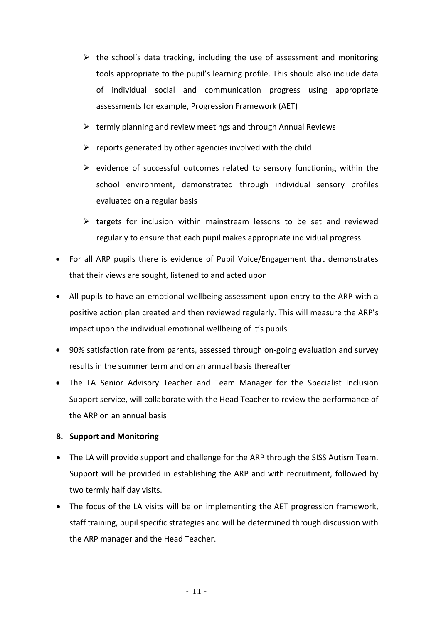- $\triangleright$  the school's data tracking, including the use of assessment and monitoring tools appropriate to the pupil's learning profile. This should also include data of individual social and communication progress using appropriate assessments for example, Progression Framework (AET)
- $\triangleright$  termly planning and review meetings and through Annual Reviews
- $\triangleright$  reports generated by other agencies involved with the child
- $\triangleright$  evidence of successful outcomes related to sensory functioning within the school environment, demonstrated through individual sensory profiles evaluated on a regular basis
- $\triangleright$  targets for inclusion within mainstream lessons to be set and reviewed regularly to ensure that each pupil makes appropriate individual progress.
- For all ARP pupils there is evidence of Pupil Voice/Engagement that demonstrates that their views are sought, listened to and acted upon
- All pupils to have an emotional wellbeing assessment upon entry to the ARP with a positive action plan created and then reviewed regularly. This will measure the ARP's impact upon the individual emotional wellbeing of it's pupils
- 90% satisfaction rate from parents, assessed through on-going evaluation and survey results in the summer term and on an annual basis thereafter
- The LA Senior Advisory Teacher and Team Manager for the Specialist Inclusion Support service, will collaborate with the Head Teacher to review the performance of the ARP on an annual basis

### **8. Support and Monitoring**

- The LA will provide support and challenge for the ARP through the SISS Autism Team. Support will be provided in establishing the ARP and with recruitment, followed by two termly half day visits.
- The focus of the LA visits will be on implementing the AET progression framework, staff training, pupil specific strategies and will be determined through discussion with the ARP manager and the Head Teacher.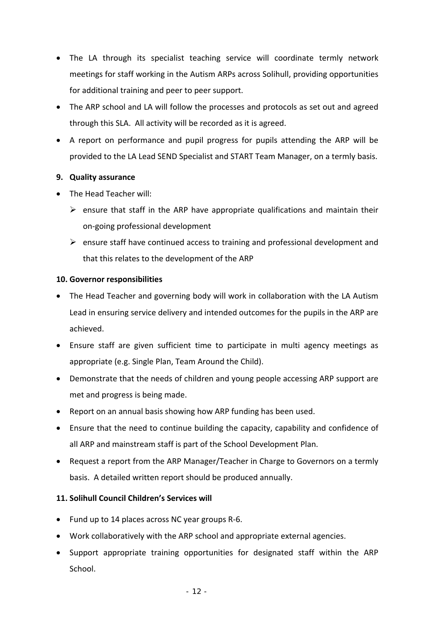- The LA through its specialist teaching service will coordinate termly network meetings for staff working in the Autism ARPs across Solihull, providing opportunities for additional training and peer to peer support.
- The ARP school and LA will follow the processes and protocols as set out and agreed through this SLA. All activity will be recorded as it is agreed.
- A report on performance and pupil progress for pupils attending the ARP will be provided to the LA Lead SEND Specialist and START Team Manager, on a termly basis.

#### **9. Quality assurance**

- The Head Teacher will:
	- $\triangleright$  ensure that staff in the ARP have appropriate qualifications and maintain their on‐going professional development
	- $\triangleright$  ensure staff have continued access to training and professional development and that this relates to the development of the ARP

#### **10. Governor responsibilities**

- The Head Teacher and governing body will work in collaboration with the LA Autism Lead in ensuring service delivery and intended outcomes for the pupils in the ARP are achieved.
- Ensure staff are given sufficient time to participate in multi agency meetings as appropriate (e.g. Single Plan, Team Around the Child).
- Demonstrate that the needs of children and young people accessing ARP support are met and progress is being made.
- Report on an annual basis showing how ARP funding has been used.
- Ensure that the need to continue building the capacity, capability and confidence of all ARP and mainstream staff is part of the School Development Plan.
- Request a report from the ARP Manager/Teacher in Charge to Governors on a termly basis. A detailed written report should be produced annually.

### **11. Solihull Council Children's Services will**

- Fund up to 14 places across NC year groups R‐6.
- Work collaboratively with the ARP school and appropriate external agencies.
- Support appropriate training opportunities for designated staff within the ARP School.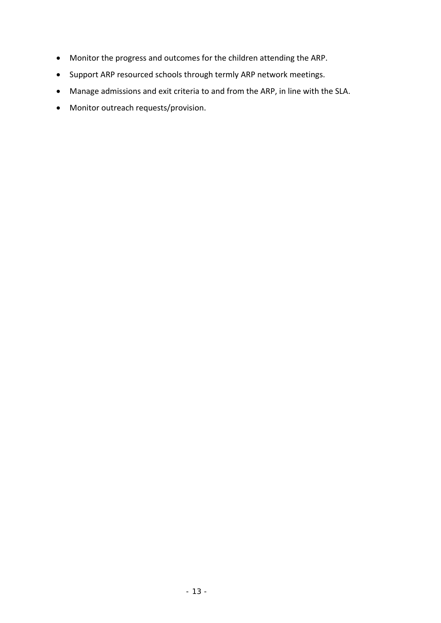- Monitor the progress and outcomes for the children attending the ARP.
- Support ARP resourced schools through termly ARP network meetings.
- Manage admissions and exit criteria to and from the ARP, in line with the SLA.
- Monitor outreach requests/provision.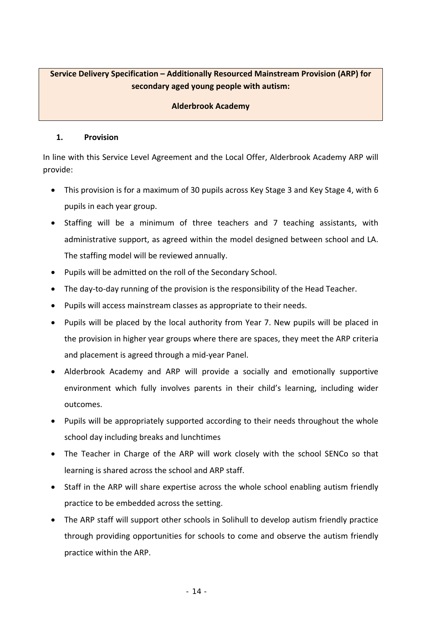### **Service Delivery Specification – Additionally Resourced Mainstream Provision (ARP) for secondary aged young people with autism:**

#### **Alderbrook Academy**

#### **1. Provision**

In line with this Service Level Agreement and the Local Offer, Alderbrook Academy ARP will provide:

- This provision is for a maximum of 30 pupils across Key Stage 3 and Key Stage 4, with 6 pupils in each year group.
- Staffing will be a minimum of three teachers and 7 teaching assistants, with administrative support, as agreed within the model designed between school and LA. The staffing model will be reviewed annually.
- Pupils will be admitted on the roll of the Secondary School.
- The day-to-day running of the provision is the responsibility of the Head Teacher.
- Pupils will access mainstream classes as appropriate to their needs.
- Pupils will be placed by the local authority from Year 7. New pupils will be placed in the provision in higher year groups where there are spaces, they meet the ARP criteria and placement is agreed through a mid‐year Panel.
- Alderbrook Academy and ARP will provide a socially and emotionally supportive environment which fully involves parents in their child's learning, including wider outcomes.
- Pupils will be appropriately supported according to their needs throughout the whole school day including breaks and lunchtimes
- The Teacher in Charge of the ARP will work closely with the school SENCo so that learning is shared across the school and ARP staff.
- Staff in the ARP will share expertise across the whole school enabling autism friendly practice to be embedded across the setting.
- The ARP staff will support other schools in Solihull to develop autism friendly practice through providing opportunities for schools to come and observe the autism friendly practice within the ARP.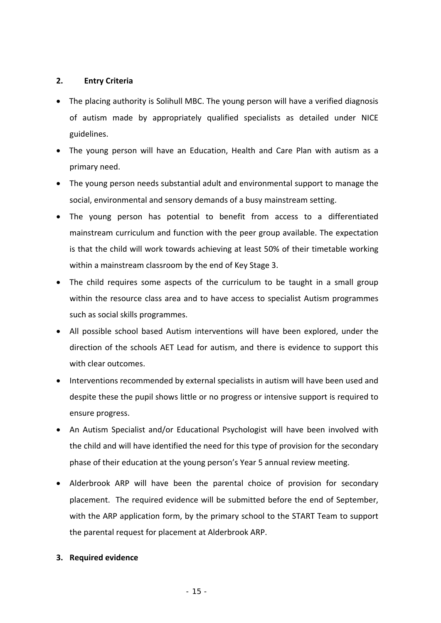#### **2. Entry Criteria**

- The placing authority is Solihull MBC. The young person will have a verified diagnosis of autism made by appropriately qualified specialists as detailed under NICE guidelines.
- The young person will have an Education, Health and Care Plan with autism as a primary need.
- The young person needs substantial adult and environmental support to manage the social, environmental and sensory demands of a busy mainstream setting.
- The young person has potential to benefit from access to a differentiated mainstream curriculum and function with the peer group available. The expectation is that the child will work towards achieving at least 50% of their timetable working within a mainstream classroom by the end of Key Stage 3.
- The child requires some aspects of the curriculum to be taught in a small group within the resource class area and to have access to specialist Autism programmes such as social skills programmes.
- All possible school based Autism interventions will have been explored, under the direction of the schools AET Lead for autism, and there is evidence to support this with clear outcomes.
- Interventions recommended by external specialists in autism will have been used and despite these the pupil shows little or no progress or intensive support is required to ensure progress.
- An Autism Specialist and/or Educational Psychologist will have been involved with the child and will have identified the need for this type of provision for the secondary phase of their education at the young person's Year 5 annual review meeting.
- Alderbrook ARP will have been the parental choice of provision for secondary placement. The required evidence will be submitted before the end of September, with the ARP application form, by the primary school to the START Team to support the parental request for placement at Alderbrook ARP.

### **3. Required evidence**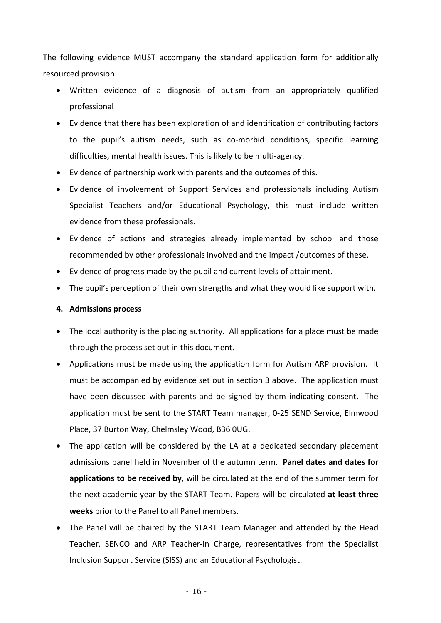The following evidence MUST accompany the standard application form for additionally resourced provision

- Written evidence of a diagnosis of autism from an appropriately qualified professional
- Evidence that there has been exploration of and identification of contributing factors to the pupil's autism needs, such as co-morbid conditions, specific learning difficulties, mental health issues. This is likely to be multi‐agency.
- Evidence of partnership work with parents and the outcomes of this.
- Evidence of involvement of Support Services and professionals including Autism Specialist Teachers and/or Educational Psychology, this must include written evidence from these professionals.
- Evidence of actions and strategies already implemented by school and those recommended by other professionals involved and the impact /outcomes of these.
- Evidence of progress made by the pupil and current levels of attainment.
- The pupil's perception of their own strengths and what they would like support with.

#### **4. Admissions process**

- The local authority is the placing authority. All applications for a place must be made through the process set out in this document.
- Applications must be made using the application form for Autism ARP provision. It must be accompanied by evidence set out in section 3 above. The application must have been discussed with parents and be signed by them indicating consent. The application must be sent to the START Team manager, 0‐25 SEND Service, Elmwood Place, 37 Burton Way, Chelmsley Wood, B36 0UG.
- The application will be considered by the LA at a dedicated secondary placement admissions panel held in November of the autumn term. **Panel dates and dates for applications to be received by**, will be circulated at the end of the summer term for the next academic year by the START Team. Papers will be circulated **at least three weeks** prior to the Panel to all Panel members.
- The Panel will be chaired by the START Team Manager and attended by the Head Teacher, SENCO and ARP Teacher-in Charge, representatives from the Specialist Inclusion Support Service (SISS) and an Educational Psychologist.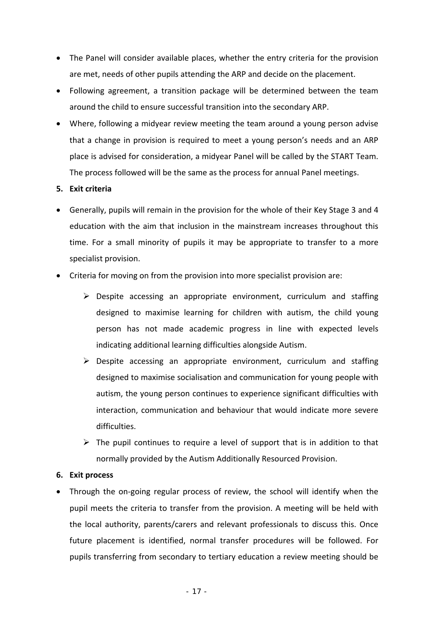- The Panel will consider available places, whether the entry criteria for the provision are met, needs of other pupils attending the ARP and decide on the placement.
- Following agreement, a transition package will be determined between the team around the child to ensure successful transition into the secondary ARP.
- Where, following a midyear review meeting the team around a young person advise that a change in provision is required to meet a young person's needs and an ARP place is advised for consideration, a midyear Panel will be called by the START Team. The process followed will be the same as the process for annual Panel meetings.

#### **5. Exit criteria**

- Generally, pupils will remain in the provision for the whole of their Key Stage 3 and 4 education with the aim that inclusion in the mainstream increases throughout this time. For a small minority of pupils it may be appropriate to transfer to a more specialist provision.
- Criteria for moving on from the provision into more specialist provision are:
	- $\triangleright$  Despite accessing an appropriate environment, curriculum and staffing designed to maximise learning for children with autism, the child young person has not made academic progress in line with expected levels indicating additional learning difficulties alongside Autism.
	- $\triangleright$  Despite accessing an appropriate environment, curriculum and staffing designed to maximise socialisation and communication for young people with autism, the young person continues to experience significant difficulties with interaction, communication and behaviour that would indicate more severe difficulties.
	- $\triangleright$  The pupil continues to require a level of support that is in addition to that normally provided by the Autism Additionally Resourced Provision.

#### **6. Exit process**

Through the on-going regular process of review, the school will identify when the pupil meets the criteria to transfer from the provision. A meeting will be held with the local authority, parents/carers and relevant professionals to discuss this. Once future placement is identified, normal transfer procedures will be followed. For pupils transferring from secondary to tertiary education a review meeting should be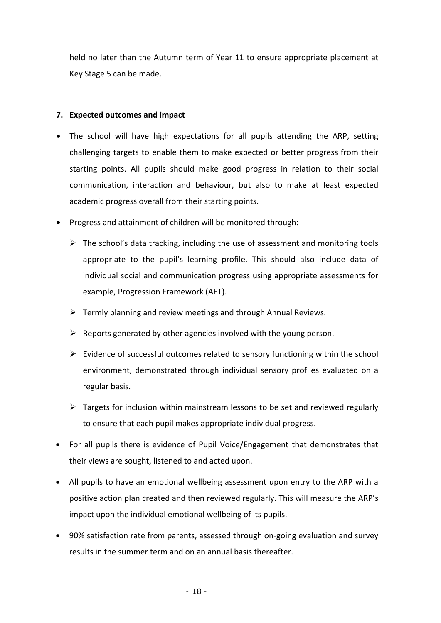held no later than the Autumn term of Year 11 to ensure appropriate placement at Key Stage 5 can be made.

#### **7. Expected outcomes and impact**

- The school will have high expectations for all pupils attending the ARP, setting challenging targets to enable them to make expected or better progress from their starting points. All pupils should make good progress in relation to their social communication, interaction and behaviour, but also to make at least expected academic progress overall from their starting points.
- Progress and attainment of children will be monitored through:
	- $\triangleright$  The school's data tracking, including the use of assessment and monitoring tools appropriate to the pupil's learning profile. This should also include data of individual social and communication progress using appropriate assessments for example, Progression Framework (AET).
	- $\triangleright$  Termly planning and review meetings and through Annual Reviews.
	- $\triangleright$  Reports generated by other agencies involved with the young person.
	- $\triangleright$  Evidence of successful outcomes related to sensory functioning within the school environment, demonstrated through individual sensory profiles evaluated on a regular basis.
	- $\triangleright$  Targets for inclusion within mainstream lessons to be set and reviewed regularly to ensure that each pupil makes appropriate individual progress.
- For all pupils there is evidence of Pupil Voice/Engagement that demonstrates that their views are sought, listened to and acted upon.
- All pupils to have an emotional wellbeing assessment upon entry to the ARP with a positive action plan created and then reviewed regularly. This will measure the ARP's impact upon the individual emotional wellbeing of its pupils.
- 90% satisfaction rate from parents, assessed through on-going evaluation and survey results in the summer term and on an annual basis thereafter.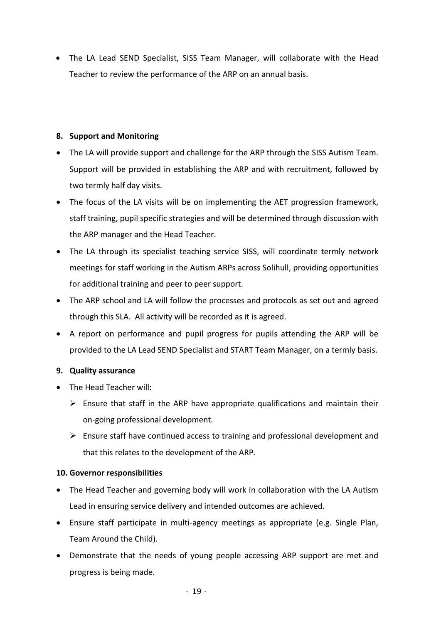• The LA Lead SEND Specialist, SISS Team Manager, will collaborate with the Head Teacher to review the performance of the ARP on an annual basis.

### **8. Support and Monitoring**

- The LA will provide support and challenge for the ARP through the SISS Autism Team. Support will be provided in establishing the ARP and with recruitment, followed by two termly half day visits.
- The focus of the LA visits will be on implementing the AET progression framework, staff training, pupil specific strategies and will be determined through discussion with the ARP manager and the Head Teacher.
- The LA through its specialist teaching service SISS, will coordinate termly network meetings for staff working in the Autism ARPs across Solihull, providing opportunities for additional training and peer to peer support.
- The ARP school and LA will follow the processes and protocols as set out and agreed through this SLA. All activity will be recorded as it is agreed.
- A report on performance and pupil progress for pupils attending the ARP will be provided to the LA Lead SEND Specialist and START Team Manager, on a termly basis.

### **9. Quality assurance**

- The Head Teacher will:
	- $\triangleright$  Ensure that staff in the ARP have appropriate qualifications and maintain their on‐going professional development.
	- $\triangleright$  Ensure staff have continued access to training and professional development and that this relates to the development of the ARP.

#### **10. Governor responsibilities**

- The Head Teacher and governing body will work in collaboration with the LA Autism Lead in ensuring service delivery and intended outcomes are achieved.
- Ensure staff participate in multi‐agency meetings as appropriate (e.g. Single Plan, Team Around the Child).
- Demonstrate that the needs of young people accessing ARP support are met and progress is being made.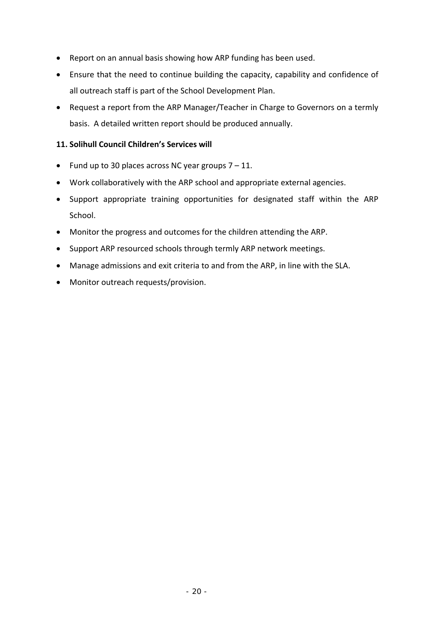- Report on an annual basis showing how ARP funding has been used.
- Ensure that the need to continue building the capacity, capability and confidence of all outreach staff is part of the School Development Plan.
- Request a report from the ARP Manager/Teacher in Charge to Governors on a termly basis. A detailed written report should be produced annually.

### **11. Solihull Council Children's Services will**

- Fund up to 30 places across NC year groups  $7 11$ .
- Work collaboratively with the ARP school and appropriate external agencies.
- Support appropriate training opportunities for designated staff within the ARP School.
- Monitor the progress and outcomes for the children attending the ARP.
- Support ARP resourced schools through termly ARP network meetings.
- Manage admissions and exit criteria to and from the ARP, in line with the SLA.
- Monitor outreach requests/provision.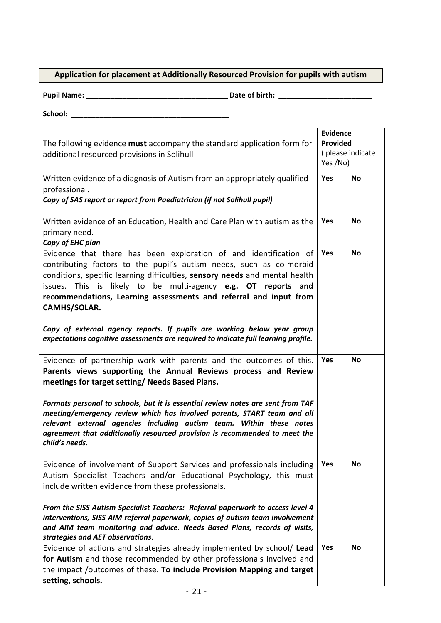### **Application for placement at Additionally Resourced Provision for pupils with autism**

**Pupil Name: \_\_\_\_\_\_\_\_\_\_\_\_\_\_\_\_\_\_\_\_\_\_\_\_\_\_\_\_\_\_\_\_\_\_\_ Date of birth: \_\_\_\_\_\_\_\_\_\_\_\_\_\_\_\_\_\_\_\_\_\_\_** 

**School: \_\_\_\_\_\_\_\_\_\_\_\_\_\_\_\_\_\_\_\_\_\_\_\_\_\_\_\_\_\_\_\_\_\_\_\_\_\_\_** 

| The following evidence must accompany the standard application form for<br>additional resourced provisions in Solihull                                                                                                                                                                                                                                                                                                                                                                                                                         |     | <b>Evidence</b><br><b>Provided</b><br>(please indicate<br>Yes /No) |
|------------------------------------------------------------------------------------------------------------------------------------------------------------------------------------------------------------------------------------------------------------------------------------------------------------------------------------------------------------------------------------------------------------------------------------------------------------------------------------------------------------------------------------------------|-----|--------------------------------------------------------------------|
| Written evidence of a diagnosis of Autism from an appropriately qualified<br>professional.<br>Copy of SAS report or report from Paediatrician (if not Solihull pupil)                                                                                                                                                                                                                                                                                                                                                                          | Yes | <b>No</b>                                                          |
| Written evidence of an Education, Health and Care Plan with autism as the<br>primary need.<br>Copy of EHC plan                                                                                                                                                                                                                                                                                                                                                                                                                                 | Yes | <b>No</b>                                                          |
| Evidence that there has been exploration of and identification of<br>contributing factors to the pupil's autism needs, such as co-morbid<br>conditions, specific learning difficulties, sensory needs and mental health<br>issues. This is likely to be multi-agency e.g. OT reports and<br>recommendations, Learning assessments and referral and input from<br>CAMHS/SOLAR.<br>Copy of external agency reports. If pupils are working below year group<br>expectations cognitive assessments are required to indicate full learning profile. | Yes | <b>No</b>                                                          |
| Evidence of partnership work with parents and the outcomes of this.<br>Parents views supporting the Annual Reviews process and Review<br>meetings for target setting/ Needs Based Plans.<br>Formats personal to schools, but it is essential review notes are sent from TAF<br>meeting/emergency review which has involved parents, START team and all<br>relevant external agencies including autism team. Within these notes<br>agreement that additionally resourced provision is recommended to meet the<br>child's needs.                 | Yes | <b>No</b>                                                          |
| Evidence of involvement of Support Services and professionals including<br>Autism Specialist Teachers and/or Educational Psychology, this must<br>include written evidence from these professionals.<br>From the SISS Autism Specialist Teachers: Referral paperwork to access level 4<br>interventions, SISS AIM referral paperwork, copies of autism team involvement<br>and AIM team monitoring and advice. Needs Based Plans, records of visits,<br>strategies and AET observations.                                                       | Yes | <b>No</b>                                                          |
| Evidence of actions and strategies already implemented by school/ Lead<br>for Autism and those recommended by other professionals involved and<br>the impact /outcomes of these. To include Provision Mapping and target<br>setting, schools.                                                                                                                                                                                                                                                                                                  | Yes | <b>No</b>                                                          |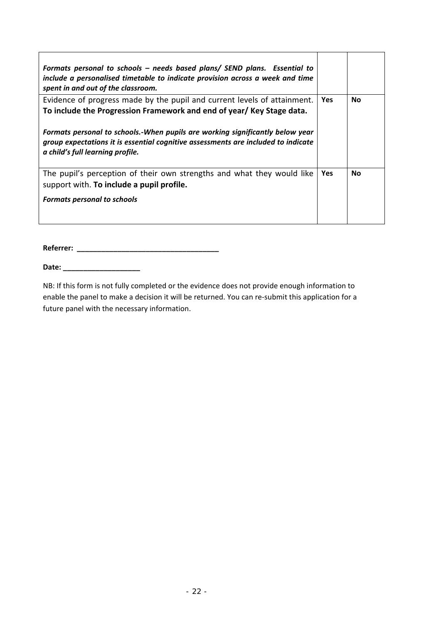| Formats personal to schools – needs based plans/ SEND plans. Essential to<br>include a personalised timetable to indicate provision across a week and time<br>spent in and out of the classroom.       |            |           |
|--------------------------------------------------------------------------------------------------------------------------------------------------------------------------------------------------------|------------|-----------|
| Evidence of progress made by the pupil and current levels of attainment.<br>To include the Progression Framework and end of year/ Key Stage data.                                                      | <b>Yes</b> | <b>No</b> |
| Formats personal to schools.-When pupils are working significantly below year<br>group expectations it is essential cognitive assessments are included to indicate<br>a child's full learning profile. |            |           |
| The pupil's perception of their own strengths and what they would like<br>support with. To include a pupil profile.                                                                                    | <b>Yes</b> | <b>No</b> |
| <b>Formats personal to schools</b>                                                                                                                                                                     |            |           |

**Referrer: \_\_\_\_\_\_\_\_\_\_\_\_\_\_\_\_\_\_\_\_\_\_\_\_\_\_\_\_\_\_\_\_\_\_\_** 

**Date: \_\_\_\_\_\_\_\_\_\_\_\_\_\_\_\_\_\_\_** 

NB: If this form is not fully completed or the evidence does not provide enough information to enable the panel to make a decision it will be returned. You can re‐submit this application for a future panel with the necessary information.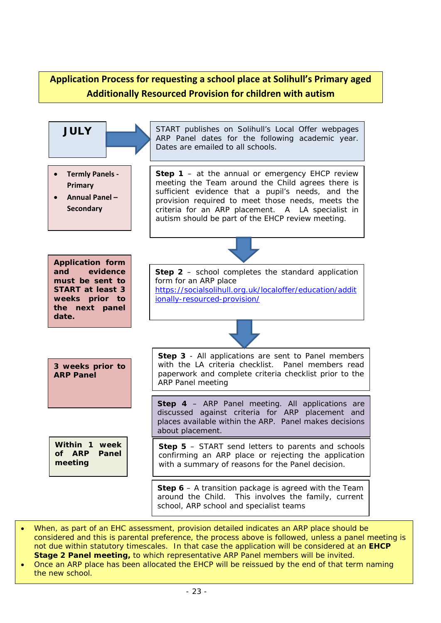### **Application Process for requesting a school place at Solihull's Primary aged Additionally Resourced Provision for children with autism**



- *When, as part of an EHC assessment, provision detailed indicates an ARP place should be considered and this is parental preference, the process above is followed, unless a panel meeting is not due within statutory timescales. In that case the application will be considered at an EHCP Stage 2 Panel meeting, to which representative ARP Panel members will be invited.*
- *Once an ARP place has been allocated the EHCP will be reissued by the end of that term naming the new school.*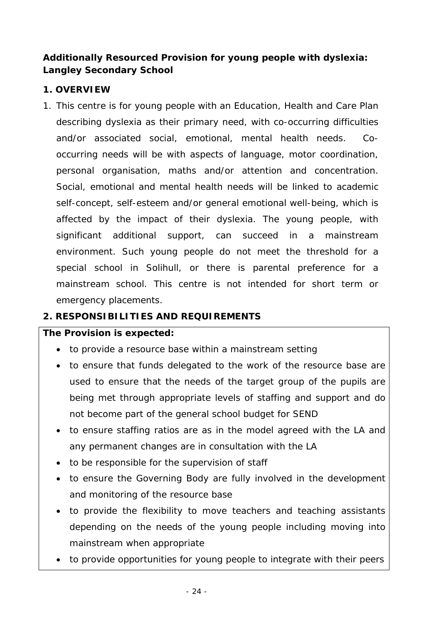### **Additionally Resourced Provision for young people with dyslexia: Langley Secondary School**

### **1. OVERVIEW**

1. This centre is for young people with an Education, Health and Care Plan describing dyslexia as their primary need, with co-occurring difficulties and/or associated social, emotional, mental health needs. Cooccurring needs will be with aspects of language, motor coordination, personal organisation, maths and/or attention and concentration. Social, emotional and mental health needs will be linked to academic self-concept, self-esteem and/or general emotional well-being, which is affected by the impact of their dyslexia. The young people, with significant additional support, can succeed in a mainstream environment. Such young people do not meet the threshold for a special school in Solihull, or there is parental preference for a mainstream school. This centre is not intended for short term or emergency placements.

### **2. RESPONSIBILITIES AND REQUIREMENTS**

### **The Provision is expected:**

- to provide a resource base within a mainstream setting
- to ensure that funds delegated to the work of the resource base are used to ensure that the needs of the target group of the pupils are being met through appropriate levels of staffing and support and do not become part of the general school budget for SEND
- to ensure staffing ratios are as in the model agreed with the LA and any permanent changes are in consultation with the LA
- to be responsible for the supervision of staff
- to ensure the Governing Body are fully involved in the development and monitoring of the resource base
- to provide the flexibility to move teachers and teaching assistants depending on the needs of the young people including moving into mainstream when appropriate
- to provide opportunities for young people to integrate with their peers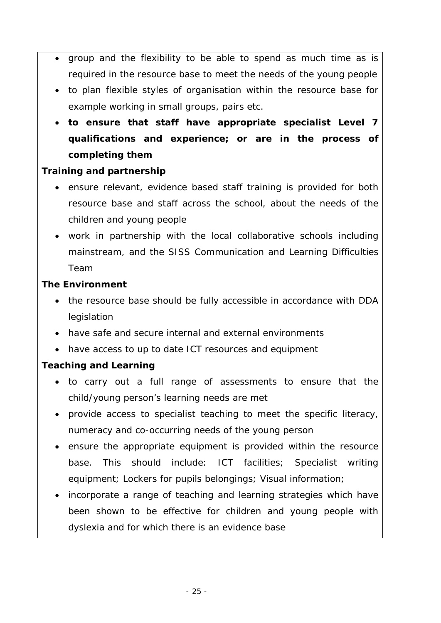- group and the flexibility to be able to spend as much time as is required in the resource base to meet the needs of the young people
- to plan flexible styles of organisation within the resource base for example working in small groups, pairs etc.
- **to ensure that staff have appropriate specialist Level 7 qualifications and experience; or are in the process of completing them**

### **Training and partnership**

- ensure relevant, evidence based staff training is provided for both resource base and staff across the school, about the needs of the children and young people
- work in partnership with the local collaborative schools including mainstream, and the SISS Communication and Learning Difficulties Team

### **The Environment**

- the resource base should be fully accessible in accordance with DDA legislation
- have safe and secure internal and external environments
- have access to up to date ICT resources and equipment

### **Teaching and Learning**

- to carry out a full range of assessments to ensure that the child/young person's learning needs are met
- provide access to specialist teaching to meet the specific literacy, numeracy and co-occurring needs of the young person
- ensure the appropriate equipment is provided within the resource base. This should include: ICT facilities; Specialist writing equipment; Lockers for pupils belongings; Visual information;
- incorporate a range of teaching and learning strategies which have been shown to be effective for children and young people with dyslexia and for which there is an evidence base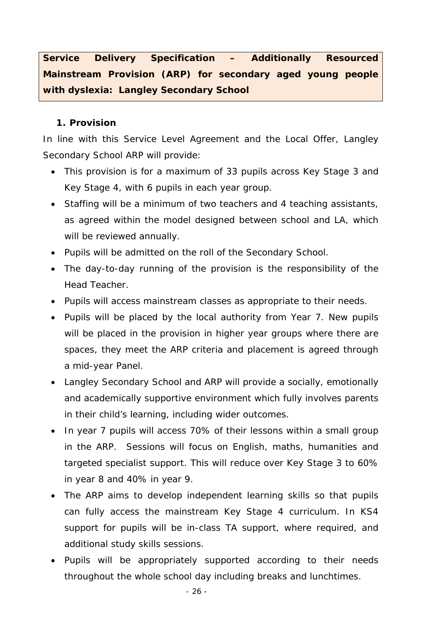**Service Delivery Specification – Additionally Resourced Mainstream Provision (ARP) for secondary aged young people with dyslexia: Langley Secondary School** 

### **1. Provision**

In line with this Service Level Agreement and the Local Offer, Langley Secondary School ARP will provide:

- This provision is for a maximum of 33 pupils across Key Stage 3 and Key Stage 4, with 6 pupils in each year group.
- Staffing will be a minimum of two teachers and 4 teaching assistants, as agreed within the model designed between school and LA, which will be reviewed annually.
- Pupils will be admitted on the roll of the Secondary School.
- The day-to-day running of the provision is the responsibility of the Head Teacher.
- Pupils will access mainstream classes as appropriate to their needs.
- Pupils will be placed by the local authority from Year 7. New pupils will be placed in the provision in higher year groups where there are spaces, they meet the ARP criteria and placement is agreed through a mid-year Panel.
- Langley Secondary School and ARP will provide a socially, emotionally and academically supportive environment which fully involves parents in their child's learning, including wider outcomes.
- In year 7 pupils will access 70% of their lessons within a small group in the ARP. Sessions will focus on English, maths, humanities and targeted specialist support. This will reduce over Key Stage 3 to 60% in year 8 and 40% in year 9.
- The ARP aims to develop independent learning skills so that pupils can fully access the mainstream Key Stage 4 curriculum. In KS4 support for pupils will be in-class TA support, where required, and additional study skills sessions.
- Pupils will be appropriately supported according to their needs throughout the whole school day including breaks and lunchtimes.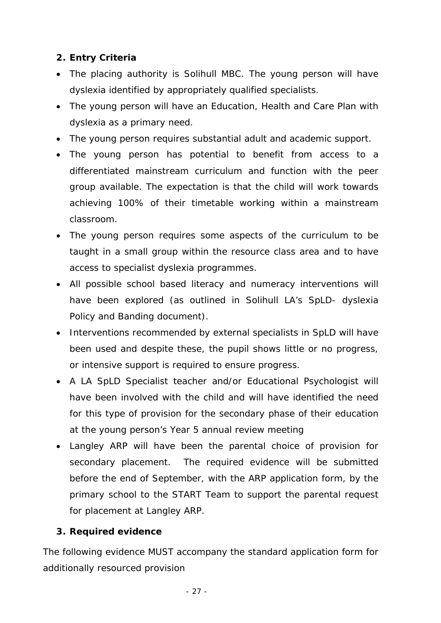### **2. Entry Criteria**

- The placing authority is Solihull MBC. The young person will have dyslexia identified by appropriately qualified specialists.
- The young person will have an Education, Health and Care Plan with dyslexia as a primary need.
- The young person requires substantial adult and academic support.
- The young person has potential to benefit from access to a differentiated mainstream curriculum and function with the peer group available. The expectation is that the child will work towards achieving 100% of their timetable working within a mainstream classroom.
- The young person requires some aspects of the curriculum to be taught in a small group within the resource class area and to have access to specialist dyslexia programmes.
- All possible school based literacy and numeracy interventions will have been explored (as outlined in Solihull LA's SpLD- dyslexia Policy and Banding document).
- Interventions recommended by external specialists in SpLD will have been used and despite these, the pupil shows little or no progress, or intensive support is required to ensure progress.
- A LA SpLD Specialist teacher and/or Educational Psychologist will have been involved with the child and will have identified the need for this type of provision for the secondary phase of their education at the young person's Year 5 annual review meeting
- Langley ARP will have been the parental choice of provision for secondary placement. The required evidence will be submitted before the end of September, with the ARP application form, by the primary school to the START Team to support the parental request for placement at Langley ARP.

### **3. Required evidence**

The following evidence MUST accompany the standard application form for additionally resourced provision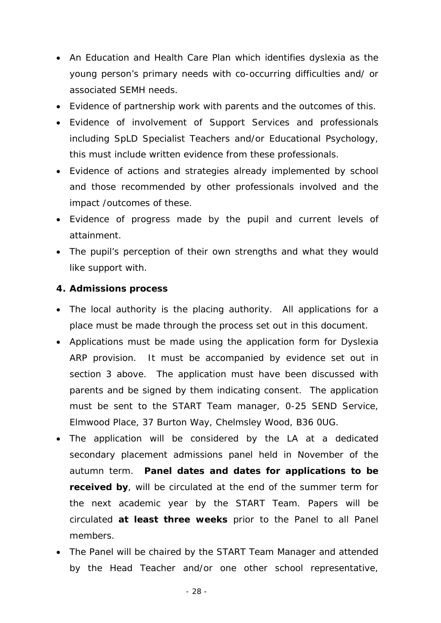- An Education and Health Care Plan which identifies dyslexia as the young person's primary needs with co-occurring difficulties and/ or associated SEMH needs.
- Evidence of partnership work with parents and the outcomes of this.
- Evidence of involvement of Support Services and professionals including SpLD Specialist Teachers and/or Educational Psychology, this must include written evidence from these professionals.
- Evidence of actions and strategies already implemented by school and those recommended by other professionals involved and the impact /outcomes of these.
- Evidence of progress made by the pupil and current levels of attainment.
- The pupil's perception of their own strengths and what they would like support with.

### **4. Admissions process**

- The local authority is the placing authority. All applications for a place must be made through the process set out in this document.
- Applications must be made using the application form for Dyslexia ARP provision. It must be accompanied by evidence set out in section 3 above. The application must have been discussed with parents and be signed by them indicating consent. The application must be sent to the START Team manager, 0-25 SEND Service, Elmwood Place, 37 Burton Way, Chelmsley Wood, B36 0UG.
- The application will be considered by the LA at a dedicated secondary placement admissions panel held in November of the autumn term. **Panel dates and dates for applications to be received by**, will be circulated at the end of the summer term for the next academic year by the START Team. Papers will be circulated **at least three weeks** prior to the Panel to all Panel members.
- The Panel will be chaired by the START Team Manager and attended by the Head Teacher and/or one other school representative,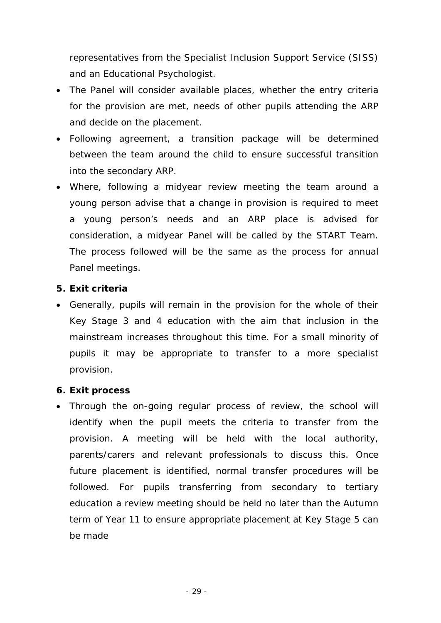representatives from the Specialist Inclusion Support Service (SISS) and an Educational Psychologist.

- The Panel will consider available places, whether the entry criteria for the provision are met, needs of other pupils attending the ARP and decide on the placement.
- Following agreement, a transition package will be determined between the team around the child to ensure successful transition into the secondary ARP.
- Where, following a midyear review meeting the team around a young person advise that a change in provision is required to meet a young person's needs and an ARP place is advised for consideration, a midyear Panel will be called by the START Team. The process followed will be the same as the process for annual Panel meetings.

### **5. Exit criteria**

 Generally, pupils will remain in the provision for the whole of their Key Stage 3 and 4 education with the aim that inclusion in the mainstream increases throughout this time. For a small minority of pupils it may be appropriate to transfer to a more specialist provision.

### **6. Exit process**

 Through the on-going regular process of review, the school will identify when the pupil meets the criteria to transfer from the provision. A meeting will be held with the local authority, parents/carers and relevant professionals to discuss this. Once future placement is identified, normal transfer procedures will be followed. For pupils transferring from secondary to tertiary education a review meeting should be held no later than the Autumn term of Year 11 to ensure appropriate placement at Key Stage 5 can be made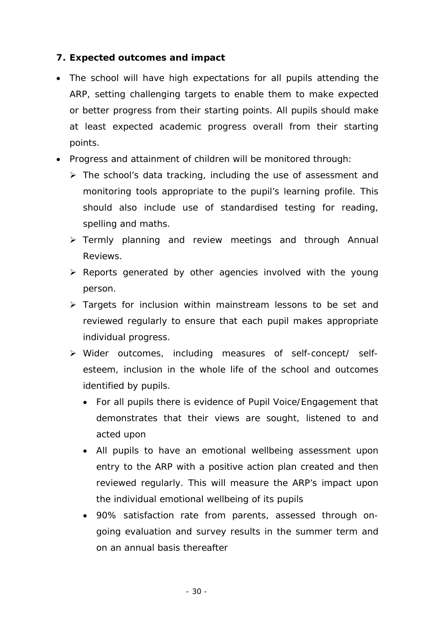### **7. Expected outcomes and impact**

- The school will have high expectations for all pupils attending the ARP, setting challenging targets to enable them to make expected or better progress from their starting points. All pupils should make at least expected academic progress overall from their starting points.
- Progress and attainment of children will be monitored through:
	- $\triangleright$  The school's data tracking, including the use of assessment and monitoring tools appropriate to the pupil's learning profile. This should also include use of standardised testing for reading, spelling and maths.
	- Fermly planning and review meetings and through Annual Reviews.
	- $\triangleright$  Reports generated by other agencies involved with the young person.
	- $\triangleright$  Targets for inclusion within mainstream lessons to be set and reviewed regularly to ensure that each pupil makes appropriate individual progress.
	- Wider outcomes, including measures of self-concept/ selfesteem, inclusion in the whole life of the school and outcomes identified by pupils.
		- For all pupils there is evidence of Pupil Voice/Engagement that demonstrates that their views are sought, listened to and acted upon
		- All pupils to have an emotional wellbeing assessment upon entry to the ARP with a positive action plan created and then reviewed regularly. This will measure the ARP's impact upon the individual emotional wellbeing of its pupils
		- 90% satisfaction rate from parents, assessed through ongoing evaluation and survey results in the summer term and on an annual basis thereafter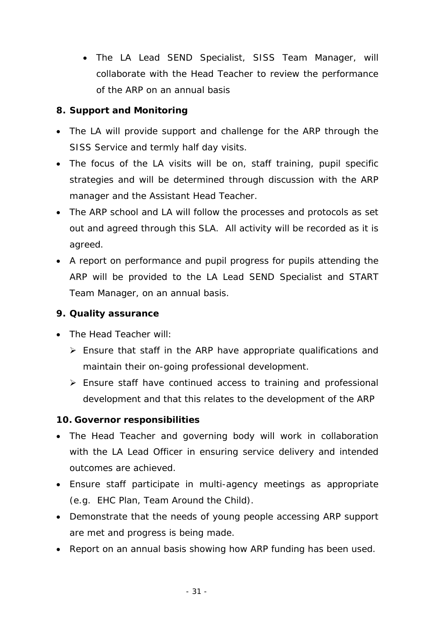The LA Lead SEND Specialist, SISS Team Manager, will collaborate with the Head Teacher to review the performance of the ARP on an annual basis

### **8. Support and Monitoring**

- The LA will provide support and challenge for the ARP through the SISS Service and termly half day visits.
- The focus of the LA visits will be on, staff training, pupil specific strategies and will be determined through discussion with the ARP manager and the Assistant Head Teacher.
- The ARP school and LA will follow the processes and protocols as set out and agreed through this SLA. All activity will be recorded as it is agreed.
- A report on performance and pupil progress for pupils attending the ARP will be provided to the LA Lead SEND Specialist and START Team Manager, on an annual basis.

### **9. Quality assurance**

- The Head Teacher will:
	- $\triangleright$  Ensure that staff in the ARP have appropriate qualifications and maintain their on-going professional development.
	- Ensure staff have continued access to training and professional development and that this relates to the development of the ARP

### **10. Governor responsibilities**

- The Head Teacher and governing body will work in collaboration with the LA Lead Officer in ensuring service delivery and intended outcomes are achieved.
- Ensure staff participate in multi-agency meetings as appropriate (e.g. EHC Plan, Team Around the Child).
- Demonstrate that the needs of young people accessing ARP support are met and progress is being made.
- Report on an annual basis showing how ARP funding has been used.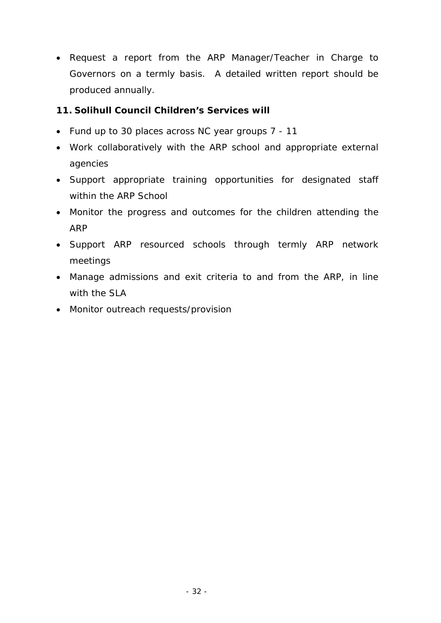• Request a report from the ARP Manager/Teacher in Charge to Governors on a termly basis. A detailed written report should be produced annually.

### **11. Solihull Council Children's Services will**

- Fund up to 30 places across NC year groups 7 11
- Work collaboratively with the ARP school and appropriate external agencies
- Support appropriate training opportunities for designated staff within the ARP School
- Monitor the progress and outcomes for the children attending the ARP
- Support ARP resourced schools through termly ARP network meetings
- Manage admissions and exit criteria to and from the ARP, in line with the SLA
- Monitor outreach requests/provision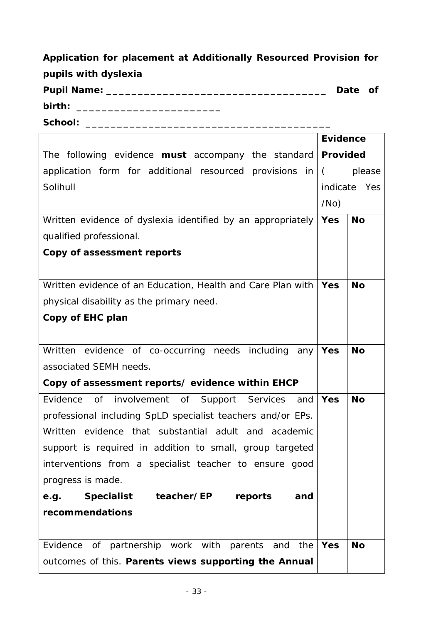| Application for placement at Additionally Resourced Provision for |         |  |
|-------------------------------------------------------------------|---------|--|
| pupils with dyslexia                                              |         |  |
| <b>Pupil Name:</b>                                                | Date of |  |
| birth:                                                            |         |  |

**School: \_\_\_\_\_\_\_\_\_\_\_\_\_\_\_\_\_\_\_\_\_\_\_\_\_\_\_\_\_\_\_\_\_\_\_\_\_\_\_** 

|                                                                   | <b>Evidence</b> |              |
|-------------------------------------------------------------------|-----------------|--------------|
| The following evidence <b>must</b> accompany the standard         | Provided        |              |
| application form for additional resourced provisions in $\vert$ ( |                 | please       |
| Solihull                                                          |                 | indicate Yes |
|                                                                   |                 |              |
| Written evidence of dyslexia identified by an appropriately       | <b>Yes</b>      | <b>No</b>    |
| qualified professional.                                           |                 |              |
| Copy of assessment reports                                        |                 |              |
|                                                                   |                 |              |
| Written evidence of an Education, Health and Care Plan with       | <b>Yes</b>      | <b>No</b>    |
| physical disability as the primary need.                          |                 |              |
| Copy of EHC plan                                                  |                 |              |
|                                                                   |                 |              |
| Written evidence of co-occurring needs including<br>any           | <b>Yes</b>      | <b>No</b>    |
| associated SEMH needs.                                            |                 |              |
| Copy of assessment reports/ evidence within EHCP                  |                 |              |
| Evidence of involvement of Support Services<br>and                | Yes             | <b>No</b>    |
| professional including SpLD specialist teachers and/or EPs.       |                 |              |
| Written evidence that substantial adult and academic              |                 |              |
| support is required in addition to small, group targeted          |                 |              |
| interventions from a specialist teacher to ensure good            |                 |              |
| progress is made.                                                 |                 |              |
| e.g. Specialist teacher/EP reports<br>and                         |                 |              |
| recommendations                                                   |                 |              |
|                                                                   |                 |              |
| Evidence of partnership work with parents and<br>the              | Yes             | <b>No</b>    |
| outcomes of this. Parents views supporting the Annual             |                 |              |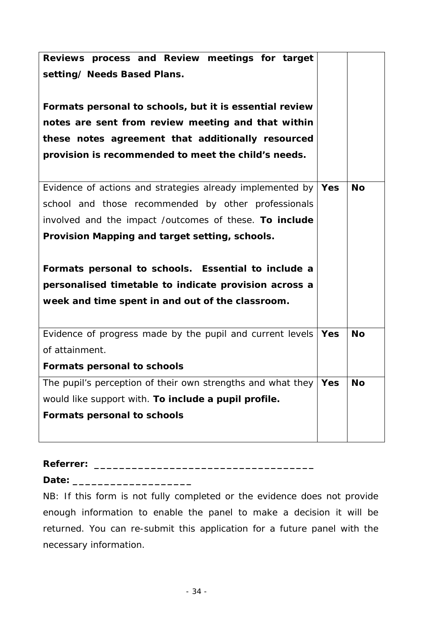| Reviews process and Review meetings for target                    |            |           |
|-------------------------------------------------------------------|------------|-----------|
| setting/ Needs Based Plans.                                       |            |           |
|                                                                   |            |           |
| Formats personal to schools, but it is essential review           |            |           |
| notes are sent from review meeting and that within                |            |           |
| these notes agreement that additionally resourced                 |            |           |
| provision is recommended to meet the child's needs.               |            |           |
|                                                                   |            |           |
| Evidence of actions and strategies already implemented by         | Yes        | <b>No</b> |
| school and those recommended by other professionals               |            |           |
| involved and the impact /outcomes of these. To include            |            |           |
| Provision Mapping and target setting, schools.                    |            |           |
|                                                                   |            |           |
| Formats personal to schools. Essential to include a               |            |           |
| personalised timetable to indicate provision across a             |            |           |
| week and time spent in and out of the classroom.                  |            |           |
|                                                                   |            |           |
| Evidence of progress made by the pupil and current levels         | <b>Yes</b> | <b>No</b> |
| of attainment.                                                    |            |           |
| <b>Formats personal to schools</b>                                |            |           |
| The pupil's perception of their own strengths and what they   Yes |            | <b>No</b> |
| would like support with. To include a pupil profile.              |            |           |
| <b>Formats personal to schools</b>                                |            |           |
|                                                                   |            |           |

### **Referrer: \_\_\_\_\_\_\_\_\_\_\_\_\_\_\_\_\_\_\_\_\_\_\_\_\_\_\_\_\_\_\_\_\_\_\_**

**Date: \_\_\_\_\_\_\_\_\_\_\_\_\_\_\_\_\_\_\_** 

NB: If this form is not fully completed or the evidence does not provide enough information to enable the panel to make a decision it will be returned. You can re-submit this application for a future panel with the necessary information.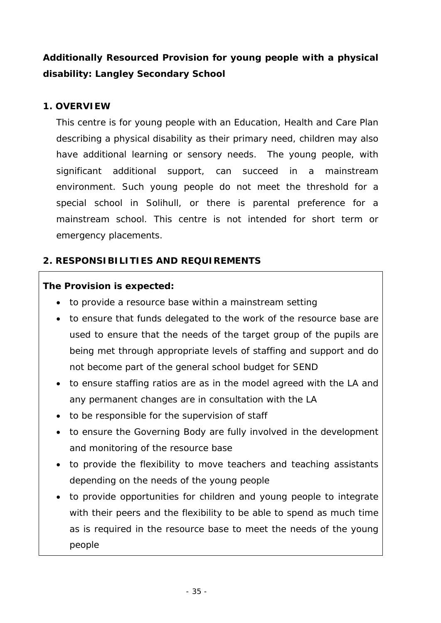## **Additionally Resourced Provision for young people with a physical disability: Langley Secondary School**

### **1. OVERVIEW**

This centre is for young people with an Education, Health and Care Plan describing a physical disability as their primary need, children may also have additional learning or sensory needs. The young people, with significant additional support, can succeed in a mainstream environment. Such young people do not meet the threshold for a special school in Solihull, or there is parental preference for a mainstream school. This centre is not intended for short term or emergency placements.

### **2. RESPONSIBILITIES AND REQUIREMENTS**

### **The Provision is expected:**

- to provide a resource base within a mainstream setting
- to ensure that funds delegated to the work of the resource base are used to ensure that the needs of the target group of the pupils are being met through appropriate levels of staffing and support and do not become part of the general school budget for SEND
- to ensure staffing ratios are as in the model agreed with the LA and any permanent changes are in consultation with the LA
- to be responsible for the supervision of staff
- to ensure the Governing Body are fully involved in the development and monitoring of the resource base
- to provide the flexibility to move teachers and teaching assistants depending on the needs of the young people
- to provide opportunities for children and young people to integrate with their peers and the flexibility to be able to spend as much time as is required in the resource base to meet the needs of the young people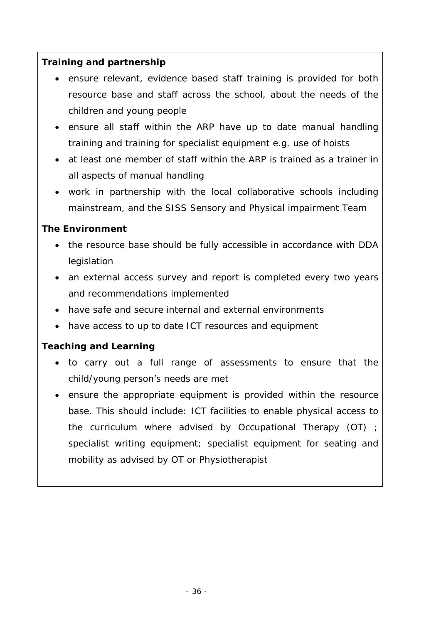### **Training and partnership**

- ensure relevant, evidence based staff training is provided for both resource base and staff across the school, about the needs of the children and young people
- ensure all staff within the ARP have up to date manual handling training and training for specialist equipment e.g. use of hoists
- at least one member of staff within the ARP is trained as a trainer in all aspects of manual handling
- work in partnership with the local collaborative schools including mainstream, and the SISS Sensory and Physical impairment Team

### **The Environment**

- the resource base should be fully accessible in accordance with DDA legislation
- an external access survey and report is completed every two years and recommendations implemented
- have safe and secure internal and external environments
- have access to up to date ICT resources and equipment

### **Teaching and Learning**

- to carry out a full range of assessments to ensure that the child/young person's needs are met
- ensure the appropriate equipment is provided within the resource base. This should include: ICT facilities to enable physical access to the curriculum where advised by Occupational Therapy (OT) ; specialist writing equipment; specialist equipment for seating and mobility as advised by OT or Physiotherapist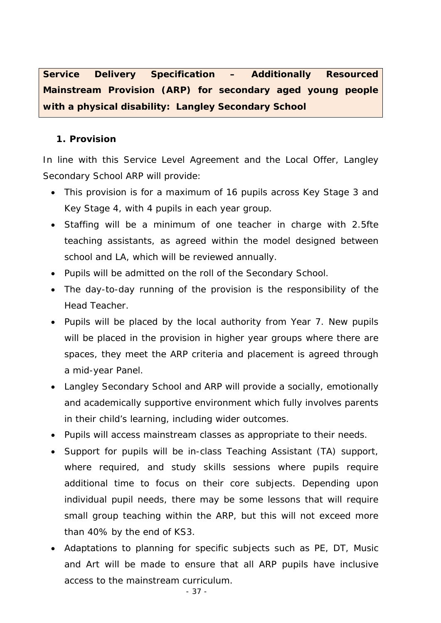**Service Delivery Specification – Additionally Resourced Mainstream Provision (ARP) for secondary aged young people with a physical disability: Langley Secondary School** 

### **1. Provision**

In line with this Service Level Agreement and the Local Offer, Langley Secondary School ARP will provide:

- This provision is for a maximum of 16 pupils across Key Stage 3 and Key Stage 4, with 4 pupils in each year group.
- Staffing will be a minimum of one teacher in charge with 2.5fte teaching assistants, as agreed within the model designed between school and LA, which will be reviewed annually.
- Pupils will be admitted on the roll of the Secondary School.
- The day-to-day running of the provision is the responsibility of the Head Teacher.
- Pupils will be placed by the local authority from Year 7. New pupils will be placed in the provision in higher year groups where there are spaces, they meet the ARP criteria and placement is agreed through a mid-year Panel.
- Langley Secondary School and ARP will provide a socially, emotionally and academically supportive environment which fully involves parents in their child's learning, including wider outcomes.
- Pupils will access mainstream classes as appropriate to their needs.
- Support for pupils will be in-class Teaching Assistant (TA) support, where required, and study skills sessions where pupils require additional time to focus on their core subjects. Depending upon individual pupil needs, there may be some lessons that will require small group teaching within the ARP, but this will not exceed more than 40% by the end of KS3.
- Adaptations to planning for specific subjects such as PE, DT, Music and Art will be made to ensure that all ARP pupils have inclusive access to the mainstream curriculum.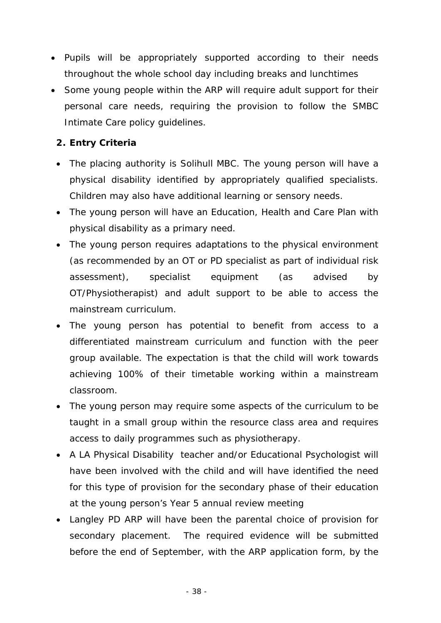- Pupils will be appropriately supported according to their needs throughout the whole school day including breaks and lunchtimes
- Some young people within the ARP will require adult support for their personal care needs, requiring the provision to follow the SMBC Intimate Care policy guidelines.

### **2. Entry Criteria**

- The placing authority is Solihull MBC. The young person will have a physical disability identified by appropriately qualified specialists. Children may also have additional learning or sensory needs.
- The young person will have an Education, Health and Care Plan with physical disability as a primary need.
- The young person requires adaptations to the physical environment (as recommended by an OT or PD specialist as part of individual risk assessment), specialist equipment (as advised by OT/Physiotherapist) and adult support to be able to access the mainstream curriculum.
- The young person has potential to benefit from access to a differentiated mainstream curriculum and function with the peer group available. The expectation is that the child will work towards achieving 100% of their timetable working within a mainstream classroom.
- The young person may require some aspects of the curriculum to be taught in a small group within the resource class area and requires access to daily programmes such as physiotherapy.
- A LA Physical Disability teacher and/or Educational Psychologist will have been involved with the child and will have identified the need for this type of provision for the secondary phase of their education at the young person's Year 5 annual review meeting
- Langley PD ARP will have been the parental choice of provision for secondary placement. The required evidence will be submitted before the end of September, with the ARP application form, by the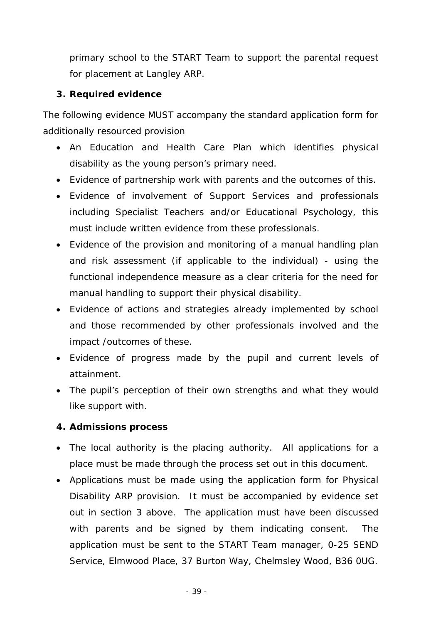primary school to the START Team to support the parental request for placement at Langley ARP.

### **3. Required evidence**

The following evidence MUST accompany the standard application form for additionally resourced provision

- An Education and Health Care Plan which identifies physical disability as the young person's primary need.
- Evidence of partnership work with parents and the outcomes of this.
- Evidence of involvement of Support Services and professionals including Specialist Teachers and/or Educational Psychology, this must include written evidence from these professionals.
- Evidence of the provision and monitoring of a manual handling plan and risk assessment (if applicable to the individual) - using the functional independence measure as a clear criteria for the need for manual handling to support their physical disability.
- Evidence of actions and strategies already implemented by school and those recommended by other professionals involved and the impact /outcomes of these.
- Evidence of progress made by the pupil and current levels of attainment.
- The pupil's perception of their own strengths and what they would like support with.

### **4. Admissions process**

- The local authority is the placing authority. All applications for a place must be made through the process set out in this document.
- Applications must be made using the application form for Physical Disability ARP provision. It must be accompanied by evidence set out in section 3 above. The application must have been discussed with parents and be signed by them indicating consent. The application must be sent to the START Team manager, 0-25 SEND Service, Elmwood Place, 37 Burton Way, Chelmsley Wood, B36 0UG.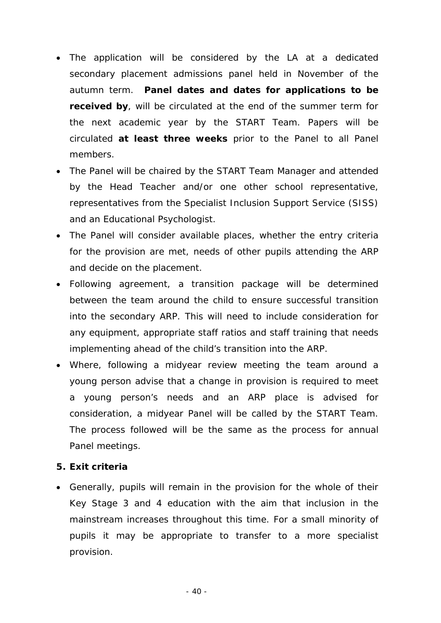- The application will be considered by the LA at a dedicated secondary placement admissions panel held in November of the autumn term. **Panel dates and dates for applications to be received by**, will be circulated at the end of the summer term for the next academic year by the START Team. Papers will be circulated **at least three weeks** prior to the Panel to all Panel members.
- The Panel will be chaired by the START Team Manager and attended by the Head Teacher and/or one other school representative, representatives from the Specialist Inclusion Support Service (SISS) and an Educational Psychologist.
- The Panel will consider available places, whether the entry criteria for the provision are met, needs of other pupils attending the ARP and decide on the placement.
- Following agreement, a transition package will be determined between the team around the child to ensure successful transition into the secondary ARP. This will need to include consideration for any equipment, appropriate staff ratios and staff training that needs implementing ahead of the child's transition into the ARP.
- Where, following a midyear review meeting the team around a young person advise that a change in provision is required to meet a young person's needs and an ARP place is advised for consideration, a midyear Panel will be called by the START Team. The process followed will be the same as the process for annual Panel meetings.

### **5. Exit criteria**

 Generally, pupils will remain in the provision for the whole of their Key Stage 3 and 4 education with the aim that inclusion in the mainstream increases throughout this time. For a small minority of pupils it may be appropriate to transfer to a more specialist provision.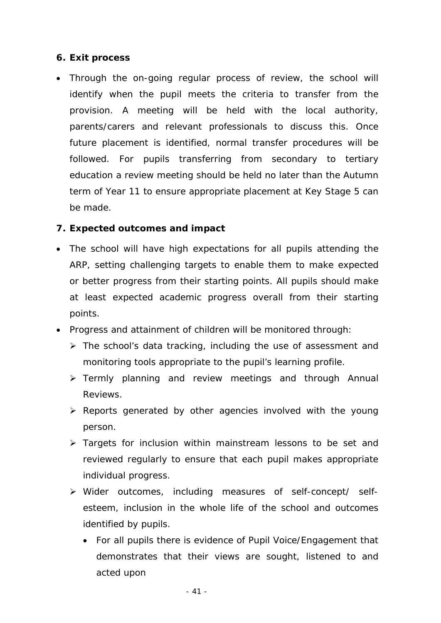### **6. Exit process**

 Through the on-going regular process of review, the school will identify when the pupil meets the criteria to transfer from the provision. A meeting will be held with the local authority, parents/carers and relevant professionals to discuss this. Once future placement is identified, normal transfer procedures will be followed. For pupils transferring from secondary to tertiary education a review meeting should be held no later than the Autumn term of Year 11 to ensure appropriate placement at Key Stage 5 can be made.

### **7. Expected outcomes and impact**

- The school will have high expectations for all pupils attending the ARP, setting challenging targets to enable them to make expected or better progress from their starting points. All pupils should make at least expected academic progress overall from their starting points.
- Progress and attainment of children will be monitored through:
	- $\triangleright$  The school's data tracking, including the use of assessment and monitoring tools appropriate to the pupil's learning profile.
	- > Termly planning and review meetings and through Annual Reviews.
	- $\triangleright$  Reports generated by other agencies involved with the young person.
	- $\triangleright$  Targets for inclusion within mainstream lessons to be set and reviewed regularly to ensure that each pupil makes appropriate individual progress.
	- Wider outcomes, including measures of self-concept/ selfesteem, inclusion in the whole life of the school and outcomes identified by pupils.
		- For all pupils there is evidence of Pupil Voice/Engagement that demonstrates that their views are sought, listened to and acted upon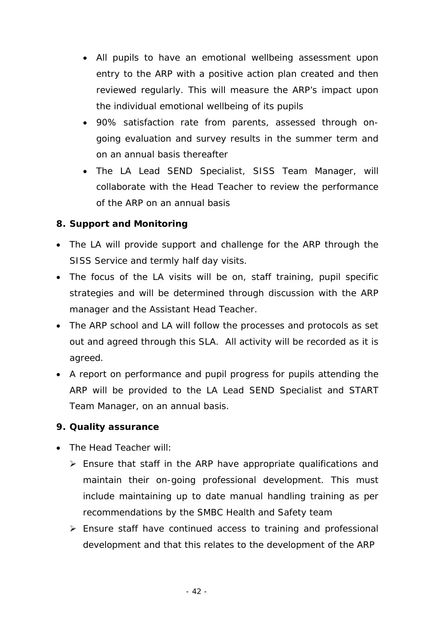- All pupils to have an emotional wellbeing assessment upon entry to the ARP with a positive action plan created and then reviewed regularly. This will measure the ARP's impact upon the individual emotional wellbeing of its pupils
- 90% satisfaction rate from parents, assessed through ongoing evaluation and survey results in the summer term and on an annual basis thereafter
- The LA Lead SEND Specialist, SISS Team Manager, will collaborate with the Head Teacher to review the performance of the ARP on an annual basis

### **8. Support and Monitoring**

- The LA will provide support and challenge for the ARP through the SISS Service and termly half day visits.
- The focus of the LA visits will be on, staff training, pupil specific strategies and will be determined through discussion with the ARP manager and the Assistant Head Teacher.
- The ARP school and LA will follow the processes and protocols as set out and agreed through this SLA. All activity will be recorded as it is agreed.
- A report on performance and pupil progress for pupils attending the ARP will be provided to the LA Lead SEND Specialist and START Team Manager, on an annual basis.

### **9. Quality assurance**

- The Head Teacher will:
	- $\triangleright$  Ensure that staff in the ARP have appropriate qualifications and maintain their on-going professional development. This must include maintaining up to date manual handling training as per recommendations by the SMBC Health and Safety team
	- Ensure staff have continued access to training and professional development and that this relates to the development of the ARP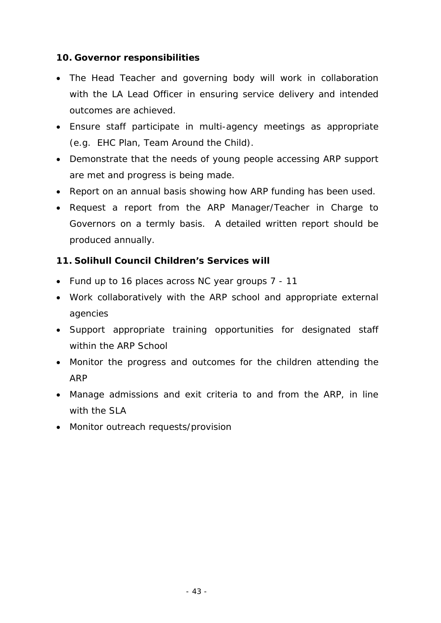### **10. Governor responsibilities**

- The Head Teacher and governing body will work in collaboration with the LA Lead Officer in ensuring service delivery and intended outcomes are achieved.
- Ensure staff participate in multi-agency meetings as appropriate (e.g. EHC Plan, Team Around the Child).
- Demonstrate that the needs of young people accessing ARP support are met and progress is being made.
- Report on an annual basis showing how ARP funding has been used.
- Request a report from the ARP Manager/Teacher in Charge to Governors on a termly basis. A detailed written report should be produced annually.

### **11. Solihull Council Children's Services will**

- Fund up to 16 places across NC year groups 7 11
- Work collaboratively with the ARP school and appropriate external agencies
- Support appropriate training opportunities for designated staff within the ARP School
- Monitor the progress and outcomes for the children attending the ARP
- Manage admissions and exit criteria to and from the ARP, in line with the SLA
- Monitor outreach requests/provision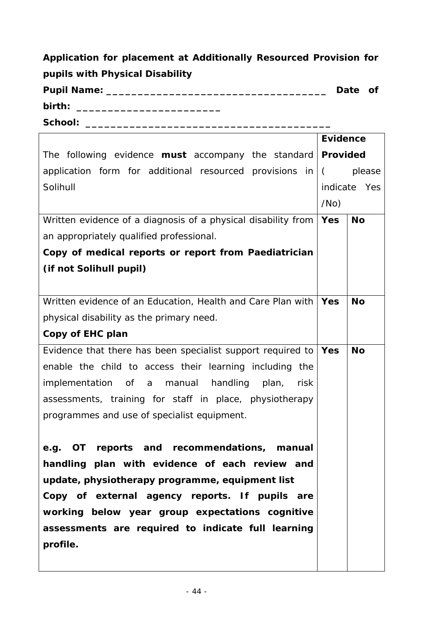**Application for placement at Additionally Resourced Provision for pupils with Physical Disability Pupil Name: \_\_\_\_\_\_\_\_\_\_\_\_\_\_\_\_\_\_\_\_\_\_\_\_\_\_\_\_\_\_\_\_\_\_\_ Date of** 

**birth: \_\_\_\_\_\_\_\_\_\_\_\_\_\_\_\_\_\_\_\_\_\_\_** 

**School: \_\_\_\_\_\_\_\_\_\_\_\_\_\_\_\_\_\_\_\_\_\_\_\_\_\_\_\_\_\_\_\_\_\_\_\_\_\_\_** 

|                                                                   | <b>Evidence</b> |                 |  |
|-------------------------------------------------------------------|-----------------|-----------------|--|
| The following evidence <b>must</b> accompany the standard         |                 | <b>Provided</b> |  |
| application form for additional resourced provisions in $\vert$ ( |                 | please          |  |
| Solihull                                                          | indicate Yes    |                 |  |
|                                                                   | /No)            |                 |  |
| Written evidence of a diagnosis of a physical disability from     | Yes             | <b>No</b>       |  |
| an appropriately qualified professional.                          |                 |                 |  |
| Copy of medical reports or report from Paediatrician              |                 |                 |  |
| <i>(if not Solihull pupil)</i>                                    |                 |                 |  |
|                                                                   |                 |                 |  |
| Written evidence of an Education, Health and Care Plan with   Yes |                 | <b>No</b>       |  |
| physical disability as the primary need.                          |                 |                 |  |
| Copy of EHC plan                                                  |                 |                 |  |
| Evidence that there has been specialist support required to       | Yes             | <b>No</b>       |  |
| enable the child to access their learning including the           |                 |                 |  |
| handling<br>implementation of a manual<br>risk<br>plan,           |                 |                 |  |
| assessments, training for staff in place, physiotherapy           |                 |                 |  |
| programmes and use of specialist equipment.                       |                 |                 |  |
|                                                                   |                 |                 |  |
| OT reports and recommendations, manual<br>e.g.                    |                 |                 |  |
| handling plan with evidence of each review and                    |                 |                 |  |
| update, physiotherapy programme, equipment list                   |                 |                 |  |
| Copy of external agency reports. If pupils are                    |                 |                 |  |
| working below year group expectations cognitive                   |                 |                 |  |
| assessments are required to indicate full learning                |                 |                 |  |
| profile.                                                          |                 |                 |  |
|                                                                   |                 |                 |  |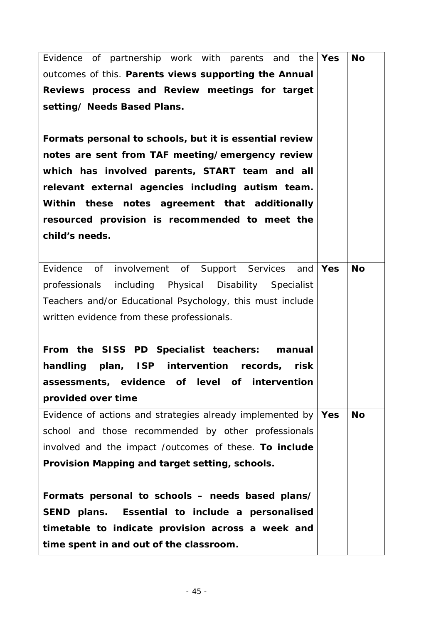| Evidence of partnership work with parents and the               | Yes | <b>No</b> |
|-----------------------------------------------------------------|-----|-----------|
| outcomes of this. Parents views supporting the Annual           |     |           |
| Reviews process and Review meetings for target                  |     |           |
| setting/ Needs Based Plans.                                     |     |           |
|                                                                 |     |           |
| Formats personal to schools, but it is essential review         |     |           |
| notes are sent from TAF meeting/emergency review                |     |           |
| which has involved parents, START team and all                  |     |           |
| relevant external agencies including autism team.               |     |           |
| Within these notes agreement that additionally                  |     |           |
| resourced provision is recommended to meet the                  |     |           |
| child's needs.                                                  |     |           |
|                                                                 |     |           |
| Evidence of<br>involvement of Support Services<br>and           | Yes | <b>No</b> |
| professionals including Physical Disability Specialist          |     |           |
| Teachers and/or Educational Psychology, this must include       |     |           |
| written evidence from these professionals.                      |     |           |
|                                                                 |     |           |
| From the SISS PD Specialist teachers: manual                    |     |           |
| handling plan, ISP intervention records,<br>risk                |     |           |
| assessments, evidence of level of intervention                  |     |           |
| provided over time                                              |     |           |
| Evidence of actions and strategies already implemented by   Yes |     | <b>No</b> |
| school and those recommended by other professionals             |     |           |
| involved and the impact /outcomes of these. To include          |     |           |
| Provision Mapping and target setting, schools.                  |     |           |
|                                                                 |     |           |
| Formats personal to schools - needs based plans/                |     |           |
| Essential to include a personalised<br>SEND plans.              |     |           |
| timetable to indicate provision across a week and               |     |           |
| time spent in and out of the classroom.                         |     |           |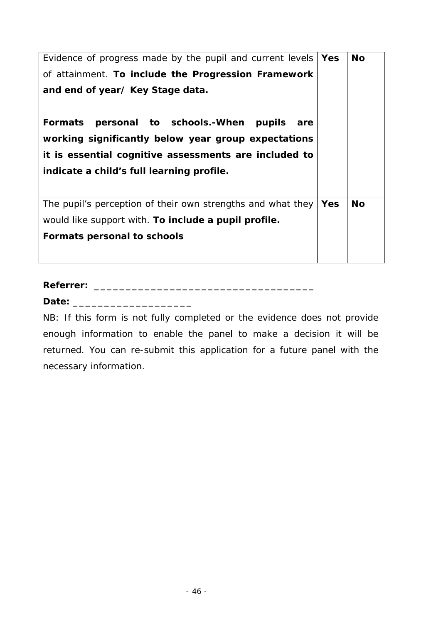| Evidence of progress made by the pupil and current levels   | Yes        | <b>No</b> |
|-------------------------------------------------------------|------------|-----------|
| of attainment. To include the Progression Framework         |            |           |
| and end of year/ Key Stage data.                            |            |           |
|                                                             |            |           |
| Formats personal to schools.-When pupils<br>are             |            |           |
| working significantly below year group expectations         |            |           |
| it is essential cognitive assessments are included to       |            |           |
| indicate a child's full learning profile.                   |            |           |
|                                                             |            |           |
| The pupil's perception of their own strengths and what they | <b>Yes</b> | <b>No</b> |
| would like support with. To include a pupil profile.        |            |           |
| <b>Formats personal to schools</b>                          |            |           |
|                                                             |            |           |

**Referrer: \_\_\_\_\_\_\_\_\_\_\_\_\_\_\_\_\_\_\_\_\_\_\_\_\_\_\_\_\_\_\_\_\_\_\_** 

**Date: \_\_\_\_\_\_\_\_\_\_\_\_\_\_\_\_\_\_\_** 

NB: If this form is not fully completed or the evidence does not provide enough information to enable the panel to make a decision it will be returned. You can re-submit this application for a future panel with the necessary information.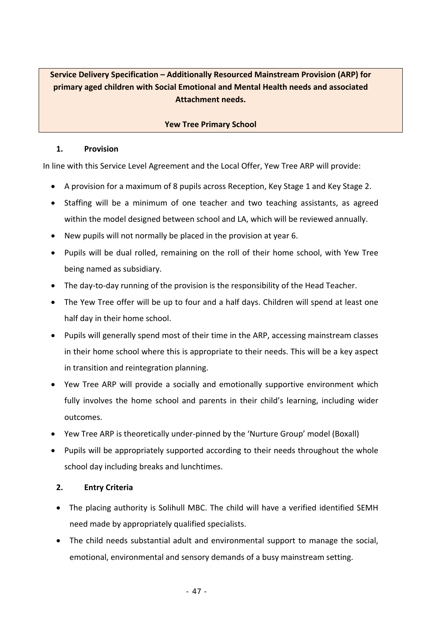### **Service Delivery Specification – Additionally Resourced Mainstream Provision (ARP) for primary aged children with Social Emotional and Mental Health needs and associated Attachment needs.**

#### **Yew Tree Primary School**

#### **1. Provision**

In line with this Service Level Agreement and the Local Offer, Yew Tree ARP will provide:

- A provision for a maximum of 8 pupils across Reception, Key Stage 1 and Key Stage 2.
- Staffing will be a minimum of one teacher and two teaching assistants, as agreed within the model designed between school and LA, which will be reviewed annually.
- New pupils will not normally be placed in the provision at year 6.
- Pupils will be dual rolled, remaining on the roll of their home school, with Yew Tree being named as subsidiary.
- The day-to-day running of the provision is the responsibility of the Head Teacher.
- The Yew Tree offer will be up to four and a half days. Children will spend at least one half day in their home school.
- Pupils will generally spend most of their time in the ARP, accessing mainstream classes in their home school where this is appropriate to their needs. This will be a key aspect in transition and reintegration planning.
- Yew Tree ARP will provide a socially and emotionally supportive environment which fully involves the home school and parents in their child's learning, including wider outcomes.
- Yew Tree ARP is theoretically under‐pinned by the 'Nurture Group' model (Boxall)
- Pupils will be appropriately supported according to their needs throughout the whole school day including breaks and lunchtimes.

#### **2. Entry Criteria**

- The placing authority is Solihull MBC. The child will have a verified identified SEMH need made by appropriately qualified specialists.
- The child needs substantial adult and environmental support to manage the social, emotional, environmental and sensory demands of a busy mainstream setting.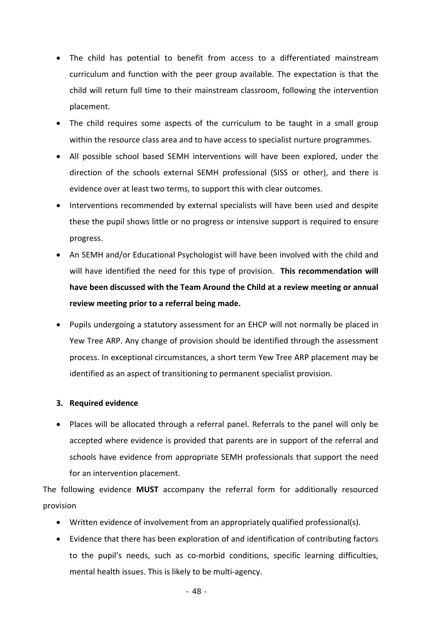- The child has potential to benefit from access to a differentiated mainstream curriculum and function with the peer group available. The expectation is that the child will return full time to their mainstream classroom, following the intervention placement.
- The child requires some aspects of the curriculum to be taught in a small group within the resource class area and to have access to specialist nurture programmes.
- All possible school based SEMH interventions will have been explored, under the direction of the schools external SEMH professional (SISS or other), and there is evidence over at least two terms, to support this with clear outcomes.
- Interventions recommended by external specialists will have been used and despite these the pupil shows little or no progress or intensive support is required to ensure progress.
- An SEMH and/or Educational Psychologist will have been involved with the child and will have identified the need for this type of provision. **This recommendation will have been discussed with the Team Around the Child at a review meeting or annual review meeting prior to a referral being made.**
- Pupils undergoing a statutory assessment for an EHCP will not normally be placed in Yew Tree ARP. Any change of provision should be identified through the assessment process. In exceptional circumstances, a short term Yew Tree ARP placement may be identified as an aspect of transitioning to permanent specialist provision.

### **3. Required evidence**

 Places will be allocated through a referral panel. Referrals to the panel will only be accepted where evidence is provided that parents are in support of the referral and schools have evidence from appropriate SEMH professionals that support the need for an intervention placement.

The following evidence **MUST** accompany the referral form for additionally resourced provision

- Written evidence of involvement from an appropriately qualified professional(s).
- Evidence that there has been exploration of and identification of contributing factors to the pupil's needs, such as co-morbid conditions, specific learning difficulties, mental health issues. This is likely to be multi-agency.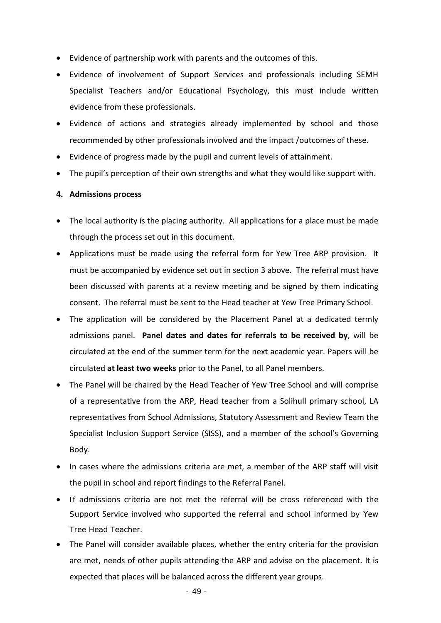- Evidence of partnership work with parents and the outcomes of this.
- Evidence of involvement of Support Services and professionals including SEMH Specialist Teachers and/or Educational Psychology, this must include written evidence from these professionals.
- Evidence of actions and strategies already implemented by school and those recommended by other professionals involved and the impact /outcomes of these.
- Evidence of progress made by the pupil and current levels of attainment.
- The pupil's perception of their own strengths and what they would like support with.

#### **4. Admissions process**

- The local authority is the placing authority. All applications for a place must be made through the process set out in this document.
- Applications must be made using the referral form for Yew Tree ARP provision. It must be accompanied by evidence set out in section 3 above. The referral must have been discussed with parents at a review meeting and be signed by them indicating consent. The referral must be sent to the Head teacher at Yew Tree Primary School.
- The application will be considered by the Placement Panel at a dedicated termly admissions panel. Panel dates and dates for referrals to be received by, will be circulated at the end of the summer term for the next academic year. Papers will be circulated **at least two weeks** prior to the Panel, to all Panel members.
- The Panel will be chaired by the Head Teacher of Yew Tree School and will comprise of a representative from the ARP, Head teacher from a Solihull primary school, LA representatives from School Admissions, Statutory Assessment and Review Team the Specialist Inclusion Support Service (SISS), and a member of the school's Governing Body.
- In cases where the admissions criteria are met, a member of the ARP staff will visit the pupil in school and report findings to the Referral Panel.
- If admissions criteria are not met the referral will be cross referenced with the Support Service involved who supported the referral and school informed by Yew Tree Head Teacher.
- The Panel will consider available places, whether the entry criteria for the provision are met, needs of other pupils attending the ARP and advise on the placement. It is expected that places will be balanced across the different year groups.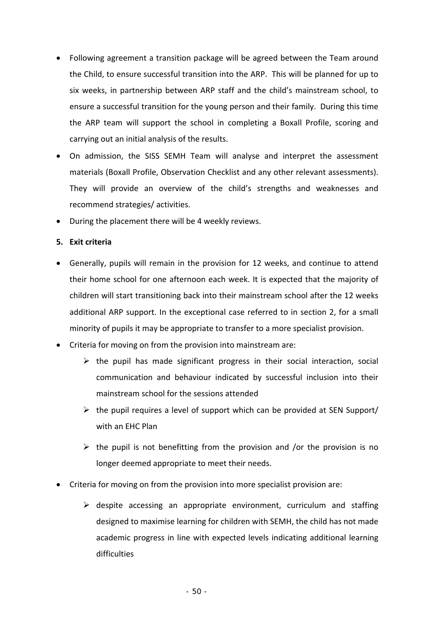- Following agreement a transition package will be agreed between the Team around the Child, to ensure successful transition into the ARP. This will be planned for up to six weeks, in partnership between ARP staff and the child's mainstream school, to ensure a successful transition for the young person and their family. During this time the ARP team will support the school in completing a Boxall Profile, scoring and carrying out an initial analysis of the results.
- On admission, the SISS SEMH Team will analyse and interpret the assessment materials (Boxall Profile, Observation Checklist and any other relevant assessments). They will provide an overview of the child's strengths and weaknesses and recommend strategies/ activities.
- During the placement there will be 4 weekly reviews.

#### **5. Exit criteria**

- Generally, pupils will remain in the provision for 12 weeks, and continue to attend their home school for one afternoon each week. It is expected that the majority of children will start transitioning back into their mainstream school after the 12 weeks additional ARP support. In the exceptional case referred to in section 2, for a small minority of pupils it may be appropriate to transfer to a more specialist provision.
- Criteria for moving on from the provision into mainstream are:
	- $\triangleright$  the pupil has made significant progress in their social interaction, social communication and behaviour indicated by successful inclusion into their mainstream school for the sessions attended
	- $\triangleright$  the pupil requires a level of support which can be provided at SEN Support/ with an EHC Plan
	- $\triangleright$  the pupil is not benefitting from the provision and /or the provision is no longer deemed appropriate to meet their needs.
- Criteria for moving on from the provision into more specialist provision are:
	- $\triangleright$  despite accessing an appropriate environment, curriculum and staffing designed to maximise learning for children with SEMH, the child has not made academic progress in line with expected levels indicating additional learning difficulties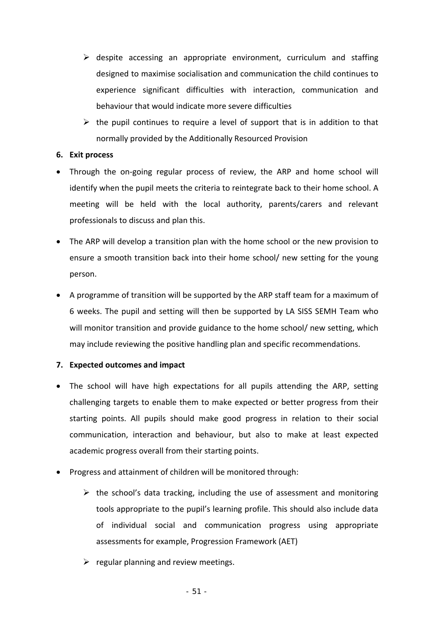- $\triangleright$  despite accessing an appropriate environment, curriculum and staffing designed to maximise socialisation and communication the child continues to experience significant difficulties with interaction, communication and behaviour that would indicate more severe difficulties
- $\triangleright$  the pupil continues to require a level of support that is in addition to that normally provided by the Additionally Resourced Provision

#### **6. Exit process**

- Through the on-going regular process of review, the ARP and home school will identify when the pupil meets the criteria to reintegrate back to their home school. A meeting will be held with the local authority, parents/carers and relevant professionals to discuss and plan this.
- The ARP will develop a transition plan with the home school or the new provision to ensure a smooth transition back into their home school/ new setting for the young person.
- A programme of transition will be supported by the ARP staff team for a maximum of 6 weeks. The pupil and setting will then be supported by LA SISS SEMH Team who will monitor transition and provide guidance to the home school/ new setting, which may include reviewing the positive handling plan and specific recommendations.

#### **7. Expected outcomes and impact**

- The school will have high expectations for all pupils attending the ARP, setting challenging targets to enable them to make expected or better progress from their starting points. All pupils should make good progress in relation to their social communication, interaction and behaviour, but also to make at least expected academic progress overall from their starting points.
- Progress and attainment of children will be monitored through:
	- $\triangleright$  the school's data tracking, including the use of assessment and monitoring tools appropriate to the pupil's learning profile. This should also include data of individual social and communication progress using appropriate assessments for example, Progression Framework (AET)
	- $\triangleright$  regular planning and review meetings.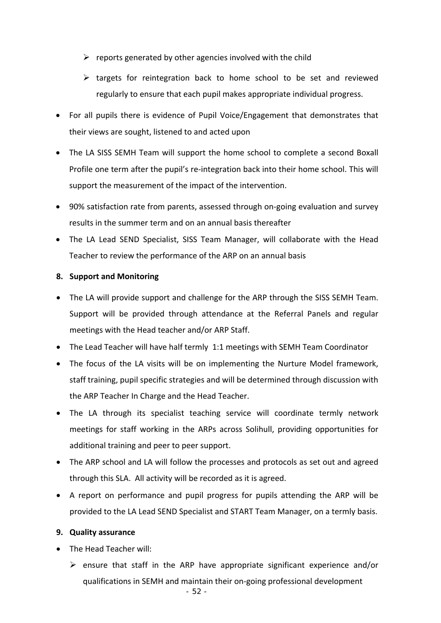- $\triangleright$  reports generated by other agencies involved with the child
- $\triangleright$  targets for reintegration back to home school to be set and reviewed regularly to ensure that each pupil makes appropriate individual progress.
- For all pupils there is evidence of Pupil Voice/Engagement that demonstrates that their views are sought, listened to and acted upon
- The LA SISS SEMH Team will support the home school to complete a second Boxall Profile one term after the pupil's re-integration back into their home school. This will support the measurement of the impact of the intervention.
- 90% satisfaction rate from parents, assessed through on‐going evaluation and survey results in the summer term and on an annual basis thereafter
- The LA Lead SEND Specialist, SISS Team Manager, will collaborate with the Head Teacher to review the performance of the ARP on an annual basis

#### **8. Support and Monitoring**

- The LA will provide support and challenge for the ARP through the SISS SEMH Team. Support will be provided through attendance at the Referral Panels and regular meetings with the Head teacher and/or ARP Staff.
- The Lead Teacher will have half termly 1:1 meetings with SEMH Team Coordinator
- The focus of the LA visits will be on implementing the Nurture Model framework, staff training, pupil specific strategies and will be determined through discussion with the ARP Teacher In Charge and the Head Teacher.
- The LA through its specialist teaching service will coordinate termly network meetings for staff working in the ARPs across Solihull, providing opportunities for additional training and peer to peer support.
- The ARP school and LA will follow the processes and protocols as set out and agreed through this SLA. All activity will be recorded as it is agreed.
- A report on performance and pupil progress for pupils attending the ARP will be provided to the LA Lead SEND Specialist and START Team Manager, on a termly basis.

#### **9. Quality assurance**

- The Head Teacher will:
	- $\triangleright$  ensure that staff in the ARP have appropriate significant experience and/or qualifications in SEMH and maintain their on‐going professional development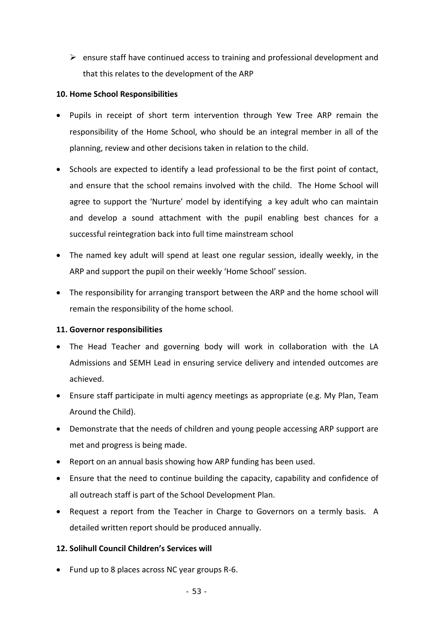$\triangleright$  ensure staff have continued access to training and professional development and that this relates to the development of the ARP

#### **10. Home School Responsibilities**

- Pupils in receipt of short term intervention through Yew Tree ARP remain the responsibility of the Home School, who should be an integral member in all of the planning, review and other decisions taken in relation to the child.
- Schools are expected to identify a lead professional to be the first point of contact, and ensure that the school remains involved with the child. The Home School will agree to support the 'Nurture' model by identifying a key adult who can maintain and develop a sound attachment with the pupil enabling best chances for a successful reintegration back into full time mainstream school
- The named key adult will spend at least one regular session, ideally weekly, in the ARP and support the pupil on their weekly 'Home School' session.
- The responsibility for arranging transport between the ARP and the home school will remain the responsibility of the home school.

### **11. Governor responsibilities**

- The Head Teacher and governing body will work in collaboration with the LA Admissions and SEMH Lead in ensuring service delivery and intended outcomes are achieved.
- Ensure staff participate in multi agency meetings as appropriate (e.g. My Plan, Team Around the Child).
- Demonstrate that the needs of children and young people accessing ARP support are met and progress is being made.
- Report on an annual basis showing how ARP funding has been used.
- Ensure that the need to continue building the capacity, capability and confidence of all outreach staff is part of the School Development Plan.
- Request a report from the Teacher in Charge to Governors on a termly basis. A detailed written report should be produced annually.

### **12. Solihull Council Children's Services will**

Fund up to 8 places across NC year groups R‐6.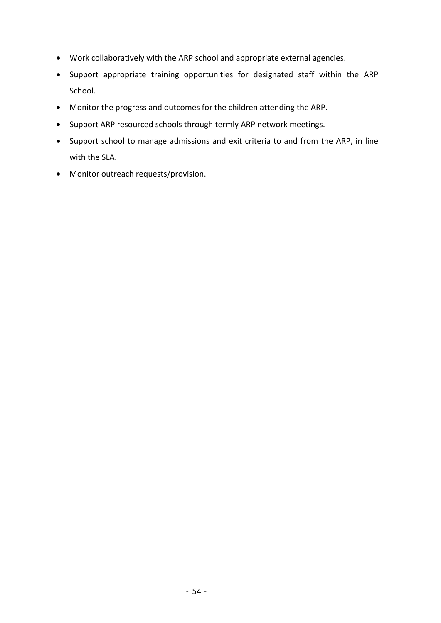- Work collaboratively with the ARP school and appropriate external agencies.
- Support appropriate training opportunities for designated staff within the ARP School.
- Monitor the progress and outcomes for the children attending the ARP.
- Support ARP resourced schools through termly ARP network meetings.
- Support school to manage admissions and exit criteria to and from the ARP, in line with the SLA.
- Monitor outreach requests/provision.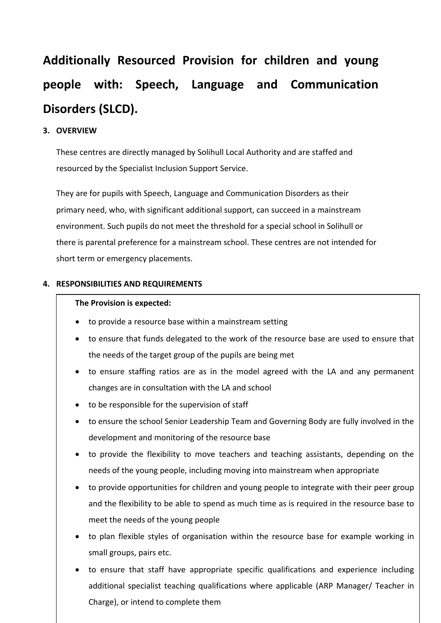# **Additionally Resourced Provision for children and young people with: Speech, Language and Communication Disorders (SLCD).**

### **3. OVERVIEW**

These centres are directly managed by Solihull Local Authority and are staffed and resourced by the Specialist Inclusion Support Service.

They are for pupils with Speech, Language and Communication Disorders as their primary need, who, with significant additional support, can succeed in a mainstream environment. Such pupils do not meet the threshold for a special school in Solihull or there is parental preference for a mainstream school. These centres are not intended for short term or emergency placements.

### **4. RESPONSIBILITIES AND REQUIREMENTS**

#### **The Provision is expected:**

- to provide a resource base within a mainstream setting
- to ensure that funds delegated to the work of the resource base are used to ensure that the needs of the target group of the pupils are being met
- to ensure staffing ratios are as in the model agreed with the LA and any permanent changes are in consultation with the LA and school
- to be responsible for the supervision of staff
- to ensure the school Senior Leadership Team and Governing Body are fully involved in the development and monitoring of the resource base
- to provide the flexibility to move teachers and teaching assistants, depending on the needs of the young people, including moving into mainstream when appropriate
- to provide opportunities for children and young people to integrate with their peer group and the flexibility to be able to spend as much time as is required in the resource base to meet the needs of the young people
- to plan flexible styles of organisation within the resource base for example working in small groups, pairs etc.
- additional specialist teaching qualifications where applicable (ARP Manager/ Teacher in to ensure that staff have appropriate specific qualifications and experience including Charge), or intend to complete them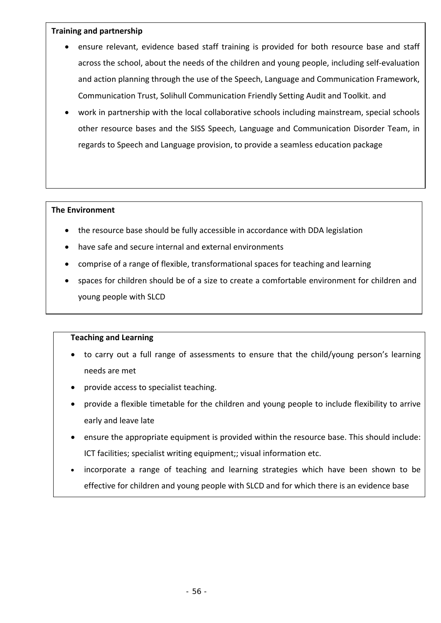#### **Training and partnership**

- ensure relevant, evidence based staff training is provided for both resource base and staff across the school, about the needs of the children and young people, including self‐evaluation and action planning through the use of the Speech, Language and Communication Framework, Communication Trust, Solihull Communication Friendly Setting Audit and Toolkit. and
- work in partnership with the local collaborative schools including mainstream, special schools other resource bases and the SISS Speech, Language and Communication Disorder Team, in regards to Speech and Language provision, to provide a seamless education package

#### **The Environment**

- the resource base should be fully accessible in accordance with DDA legislation
- have safe and secure internal and external environments
- comprise of a range of flexible, transformational spaces for teaching and learning
- spaces for children should be of a size to create a comfortable environment for children and young people with SLCD

#### **Teaching and Learning**

- to carry out a full range of assessments to ensure that the child/young person's learning needs are met
- provide access to specialist teaching.
- provide a flexible timetable for the children and young people to include flexibility to arrive early and leave late
- ensure the appropriate equipment is provided within the resource base. This should include: ICT facilities; specialist writing equipment;; visual information etc.
- incorporate a range of teaching and learning strategies which have been shown to be effective for children and young people with SLCD and for which there is an evidence base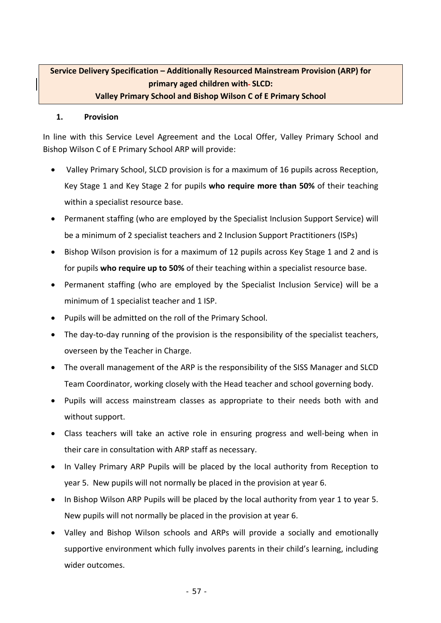### **Service Delivery Specification – Additionally Resourced Mainstream Provision (ARP) for primary aged children with SLCD: Valley Primary School and Bishop Wilson C of E Primary School**

#### **1. Provision**

In line with this Service Level Agreement and the Local Offer, Valley Primary School and Bishop Wilson C of E Primary School ARP will provide:

- Valley Primary School, SLCD provision is for a maximum of 16 pupils across Reception, Key Stage 1 and Key Stage 2 for pupils **who require more than 50%** of their teaching within a specialist resource base.
- Permanent staffing (who are employed by the Specialist Inclusion Support Service) will be a minimum of 2 specialist teachers and 2 Inclusion Support Practitioners (ISPs)
- Bishop Wilson provision is for a maximum of 12 pupils across Key Stage 1 and 2 and is for pupils **who require up to 50%** of their teaching within a specialist resource base.
- Permanent staffing (who are employed by the Specialist Inclusion Service) will be a minimum of 1 specialist teacher and 1 ISP.
- Pupils will be admitted on the roll of the Primary School.
- The day-to-day running of the provision is the responsibility of the specialist teachers, overseen by the Teacher in Charge.
- The overall management of the ARP is the responsibility of the SISS Manager and SLCD Team Coordinator, working closely with the Head teacher and school governing body.
- Pupils will access mainstream classes as appropriate to their needs both with and without support.
- Class teachers will take an active role in ensuring progress and well-being when in their care in consultation with ARP staff as necessary.
- In Valley Primary ARP Pupils will be placed by the local authority from Reception to year 5. New pupils will not normally be placed in the provision at year 6.
- In Bishop Wilson ARP Pupils will be placed by the local authority from year 1 to year 5. New pupils will not normally be placed in the provision at year 6.
- Valley and Bishop Wilson schools and ARPs will provide a socially and emotionally supportive environment which fully involves parents in their child's learning, including wider outcomes.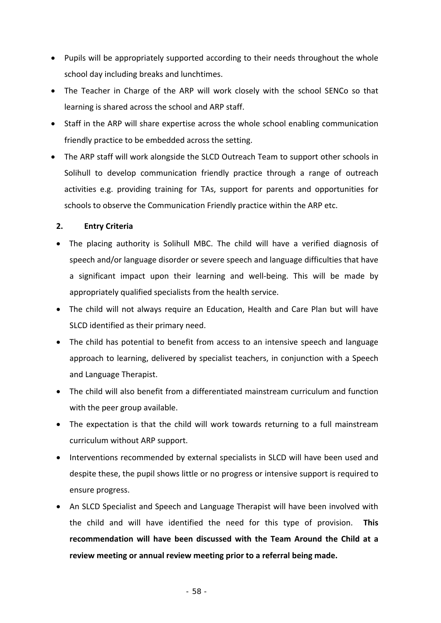- Pupils will be appropriately supported according to their needs throughout the whole school day including breaks and lunchtimes.
- The Teacher in Charge of the ARP will work closely with the school SENCo so that learning is shared across the school and ARP staff.
- Staff in the ARP will share expertise across the whole school enabling communication friendly practice to be embedded across the setting.
- The ARP staff will work alongside the SLCD Outreach Team to support other schools in Solihull to develop communication friendly practice through a range of outreach activities e.g. providing training for TAs, support for parents and opportunities for schools to observe the Communication Friendly practice within the ARP etc.

### **2. Entry Criteria**

- The placing authority is Solihull MBC. The child will have a verified diagnosis of speech and/or language disorder or severe speech and language difficulties that have a significant impact upon their learning and well‐being. This will be made by appropriately qualified specialists from the health service.
- The child will not always require an Education, Health and Care Plan but will have SLCD identified as their primary need.
- The child has potential to benefit from access to an intensive speech and language approach to learning, delivered by specialist teachers, in conjunction with a Speech and Language Therapist.
- The child will also benefit from a differentiated mainstream curriculum and function with the peer group available.
- The expectation is that the child will work towards returning to a full mainstream curriculum without ARP support.
- Interventions recommended by external specialists in SLCD will have been used and despite these, the pupil shows little or no progress or intensive support is required to ensure progress.
- An SLCD Specialist and Speech and Language Therapist will have been involved with the child and will have identified the need for this type of provision. **This recommendation will have been discussed with the Team Around the Child at a review meeting or annual review meeting prior to a referral being made.**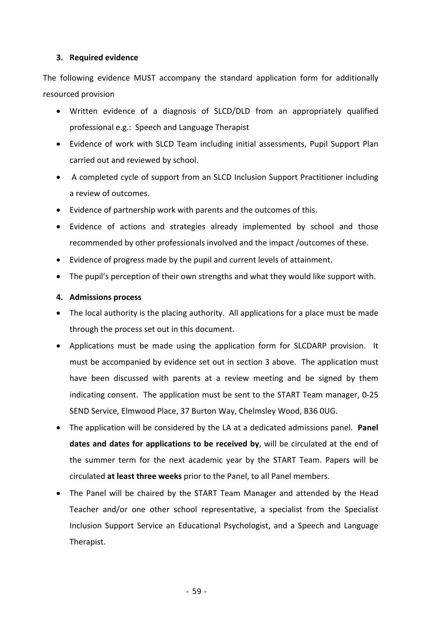#### **3. Required evidence**

The following evidence MUST accompany the standard application form for additionally resourced provision

- Written evidence of a diagnosis of SLCD/DLD from an appropriately qualified professional e.g.: Speech and Language Therapist
- Evidence of work with SLCD Team including initial assessments, Pupil Support Plan carried out and reviewed by school.
- A completed cycle of support from an SLCD Inclusion Support Practitioner including a review of outcomes.
- Evidence of partnership work with parents and the outcomes of this.
- Evidence of actions and strategies already implemented by school and those recommended by other professionals involved and the impact /outcomes of these.
- Evidence of progress made by the pupil and current levels of attainment.
- The pupil's perception of their own strengths and what they would like support with.

#### **4. Admissions process**

- The local authority is the placing authority. All applications for a place must be made through the process set out in this document.
- Applications must be made using the application form for SLCDARP provision. It must be accompanied by evidence set out in section 3 above. The application must have been discussed with parents at a review meeting and be signed by them indicating consent. The application must be sent to the START Team manager, 0‐25 SEND Service, Elmwood Place, 37 Burton Way, Chelmsley Wood, B36 0UG.
- The application will be considered by the LA at a dedicated admissions panel. **Panel dates and dates for applications to be received by**, will be circulated at the end of the summer term for the next academic year by the START Team. Papers will be circulated **at least three weeks** prior to the Panel, to all Panel members.
- The Panel will be chaired by the START Team Manager and attended by the Head Teacher and/or one other school representative, a specialist from the Specialist Inclusion Support Service an Educational Psychologist, and a Speech and Language Therapist.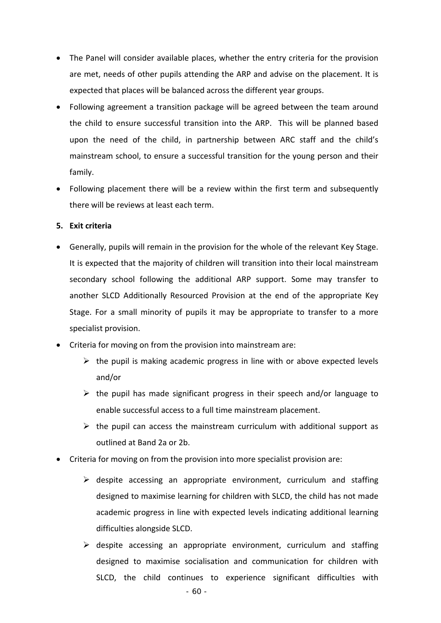- The Panel will consider available places, whether the entry criteria for the provision are met, needs of other pupils attending the ARP and advise on the placement. It is expected that places will be balanced across the different year groups.
- Following agreement a transition package will be agreed between the team around the child to ensure successful transition into the ARP. This will be planned based upon the need of the child, in partnership between ARC staff and the child's mainstream school, to ensure a successful transition for the young person and their family.
- Following placement there will be a review within the first term and subsequently there will be reviews at least each term.

### **5. Exit criteria**

- Generally, pupils will remain in the provision for the whole of the relevant Key Stage. It is expected that the majority of children will transition into their local mainstream secondary school following the additional ARP support. Some may transfer to another SLCD Additionally Resourced Provision at the end of the appropriate Key Stage. For a small minority of pupils it may be appropriate to transfer to a more specialist provision.
- Criteria for moving on from the provision into mainstream are:
	- $\triangleright$  the pupil is making academic progress in line with or above expected levels and/or
	- $\triangleright$  the pupil has made significant progress in their speech and/or language to enable successful access to a full time mainstream placement.
	- $\triangleright$  the pupil can access the mainstream curriculum with additional support as outlined at Band 2a or 2b.
- Criteria for moving on from the provision into more specialist provision are:
	- $\triangleright$  despite accessing an appropriate environment, curriculum and staffing designed to maximise learning for children with SLCD, the child has not made academic progress in line with expected levels indicating additional learning difficulties alongside SLCD.
	- $\triangleright$  despite accessing an appropriate environment, curriculum and staffing designed to maximise socialisation and communication for children with SLCD, the child continues to experience significant difficulties with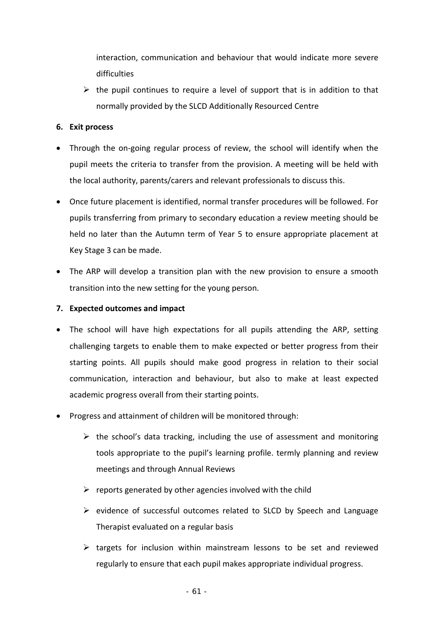interaction, communication and behaviour that would indicate more severe difficulties

 $\triangleright$  the pupil continues to require a level of support that is in addition to that normally provided by the SLCD Additionally Resourced Centre

#### **6. Exit process**

- Through the on-going regular process of review, the school will identify when the pupil meets the criteria to transfer from the provision. A meeting will be held with the local authority, parents/carers and relevant professionals to discuss this.
- Once future placement is identified, normal transfer procedures will be followed. For pupils transferring from primary to secondary education a review meeting should be held no later than the Autumn term of Year 5 to ensure appropriate placement at Key Stage 3 can be made.
- The ARP will develop a transition plan with the new provision to ensure a smooth transition into the new setting for the young person.

### **7. Expected outcomes and impact**

- The school will have high expectations for all pupils attending the ARP, setting challenging targets to enable them to make expected or better progress from their starting points. All pupils should make good progress in relation to their social communication, interaction and behaviour, but also to make at least expected academic progress overall from their starting points.
- **Progress and attainment of children will be monitored through:** 
	- $\triangleright$  the school's data tracking, including the use of assessment and monitoring tools appropriate to the pupil's learning profile. termly planning and review meetings and through Annual Reviews
	- $\triangleright$  reports generated by other agencies involved with the child
	- $\triangleright$  evidence of successful outcomes related to SLCD by Speech and Language Therapist evaluated on a regular basis
	- $\triangleright$  targets for inclusion within mainstream lessons to be set and reviewed regularly to ensure that each pupil makes appropriate individual progress.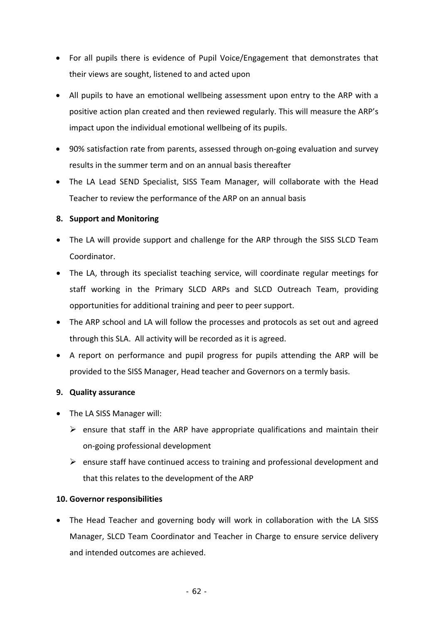- For all pupils there is evidence of Pupil Voice/Engagement that demonstrates that their views are sought, listened to and acted upon
- All pupils to have an emotional wellbeing assessment upon entry to the ARP with a positive action plan created and then reviewed regularly. This will measure the ARP's impact upon the individual emotional wellbeing of its pupils.
- 90% satisfaction rate from parents, assessed through on-going evaluation and survey results in the summer term and on an annual basis thereafter
- The LA Lead SEND Specialist, SISS Team Manager, will collaborate with the Head Teacher to review the performance of the ARP on an annual basis

### **8. Support and Monitoring**

- The LA will provide support and challenge for the ARP through the SISS SLCD Team Coordinator.
- The LA, through its specialist teaching service, will coordinate regular meetings for staff working in the Primary SLCD ARPs and SLCD Outreach Team, providing opportunities for additional training and peer to peer support.
- The ARP school and LA will follow the processes and protocols as set out and agreed through this SLA. All activity will be recorded as it is agreed.
- A report on performance and pupil progress for pupils attending the ARP will be provided to the SISS Manager, Head teacher and Governors on a termly basis.

### **9. Quality assurance**

- The LA SISS Manager will:
	- $\triangleright$  ensure that staff in the ARP have appropriate qualifications and maintain their on‐going professional development
	- $\triangleright$  ensure staff have continued access to training and professional development and that this relates to the development of the ARP

### **10. Governor responsibilities**

• The Head Teacher and governing body will work in collaboration with the LA SISS Manager, SLCD Team Coordinator and Teacher in Charge to ensure service delivery and intended outcomes are achieved.